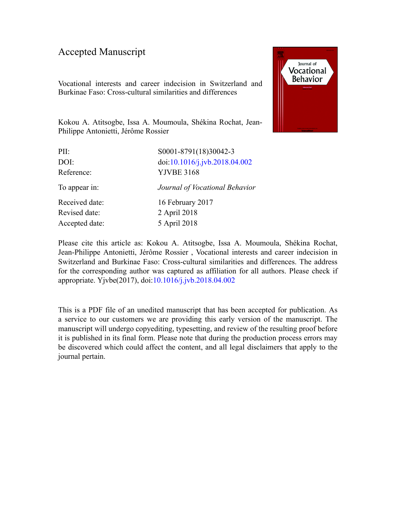### Accepted Manuscript

Vocational interests and career indecision in Switzerland and Burkinae Faso: Cross-cultural similarities and differences



Kokou A. Atitsogbe, Issa A. Moumoula, Shékina Rochat, Jean-Philippe Antonietti, Jérôme Rossier

| PII:           | S0001-8791(18)30042-3          |
|----------------|--------------------------------|
| DOI:           | doi:10.1016/j.jvb.2018.04.002  |
| Reference:     | <b>YJVBE 3168</b>              |
| To appear in:  | Journal of Vocational Behavior |
| Received date: | 16 February 2017               |
| Revised date:  | 2 April 2018                   |
| Accepted date: | 5 April 2018                   |
|                |                                |

Please cite this article as: Kokou A. Atitsogbe, Issa A. Moumoula, Shékina Rochat, Jean-Philippe Antonietti, Jérôme Rossier , Vocational interests and career indecision in Switzerland and Burkinae Faso: Cross-cultural similarities and differences. The address for the corresponding author was captured as affiliation for all authors. Please check if appropriate. Yjvbe(2017), doi:[10.1016/j.jvb.2018.04.002](https://doi.org/10.1016/j.jvb.2018.04.002)

This is a PDF file of an unedited manuscript that has been accepted for publication. As a service to our customers we are providing this early version of the manuscript. The manuscript will undergo copyediting, typesetting, and review of the resulting proof before it is published in its final form. Please note that during the production process errors may be discovered which could affect the content, and all legal disclaimers that apply to the journal pertain.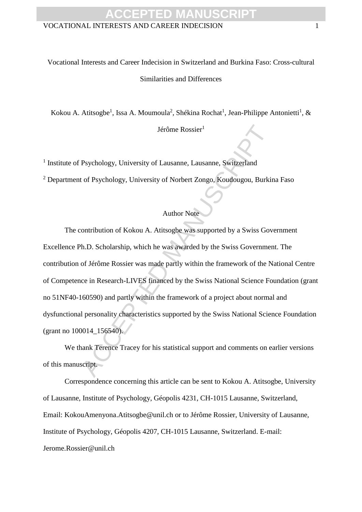### VOCATIONAL INTERESTS AND CAREER INDECISION 1 **ACCEPTED MANUSCRIPT**

### Vocational Interests and Career Indecision in Switzerland and Burkina Faso: Cross-cultural Similarities and Differences

Kokou A. Atitsogbe<sup>1</sup>, Issa A. Moumoula<sup>2</sup>, Shékina Rochat<sup>1</sup>, Jean-Philippe Antonietti<sup>1</sup>, &

Jérôme Rossier<sup>1</sup>

<sup>1</sup> Institute of Psychology, University of Lausanne, Lausanne, Switzerland

<sup>2</sup> Department of Psychology, University of Norbert Zongo, Koudougou, Burkina Faso

### Author Note

Jeffome Rossier<sup>1</sup><br>
Psychology, University of Lausanne, Lausanne, Switzerland<br>
16 Psychology, University of Norbert Zongo, Koudougou, Burkin<br>
Author Note<br>
20 Acception of Kokou A. Atitsoghe was supported by a Swiss Governm The contribution of Kokou A. Atitsogbe was supported by a Swiss Government Excellence Ph.D. Scholarship, which he was awarded by the Swiss Government. The contribution of Jérôme Rossier was made partly within the framework of the National Centre of Competence in Research-LIVES financed by the Swiss National Science Foundation (grant no 51NF40-160590) and partly within the framework of a project about normal and dysfunctional personality characteristics supported by the Swiss National Science Foundation (grant no 100014\_156540).

We thank Terence Tracey for his statistical support and comments on earlier versions of this manuscript.

Correspondence concerning this article can be sent to Kokou A. Atitsogbe, University of Lausanne, Institute of Psychology, Géopolis 4231, CH-1015 Lausanne, Switzerland, Email: KokouAmenyona.Atitsogbe@unil.ch or to Jérôme Rossier, University of Lausanne, Institute of Psychology, Géopolis 4207, CH-1015 Lausanne, Switzerland. E-mail: Jerome.Rossier@unil.ch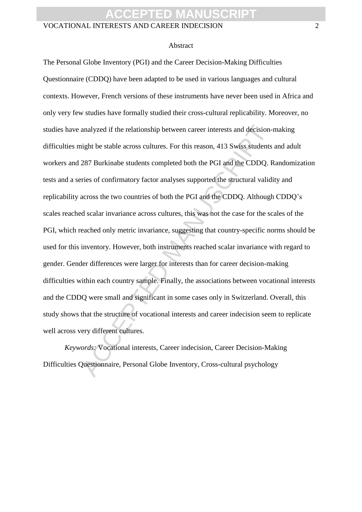#### VOCATIONAL INTERESTS AND CAREER INDECISION 2

#### Abstract

analyzed if the relationship between career interests and decision-<br>night be stable across cultures. For this reason, 413 Swiss students<br>287 Burkinabe students completed both the PGI and the CDDQ. R<br>ries of confirmatory fa The Personal Globe Inventory (PGI) and the Career Decision-Making Difficulties Questionnaire (CDDQ) have been adapted to be used in various languages and cultural contexts. However, French versions of these instruments have never been used in Africa and only very few studies have formally studied their cross-cultural replicability. Moreover, no studies have analyzed if the relationship between career interests and decision-making difficulties might be stable across cultures. For this reason, 413 Swiss students and adult workers and 287 Burkinabe students completed both the PGI and the CDDQ. Randomization tests and a series of confirmatory factor analyses supported the structural validity and replicability across the two countries of both the PGI and the CDDQ. Although CDDQ's scales reached scalar invariance across cultures, this was not the case for the scales of the PGI, which reached only metric invariance, suggesting that country-specific norms should be used for this inventory. However, both instruments reached scalar invariance with regard to gender. Gender differences were larger for interests than for career decision-making difficulties within each country sample. Finally, the associations between vocational interests and the CDDQ were small and significant in some cases only in Switzerland. Overall, this study shows that the structure of vocational interests and career indecision seem to replicate well across very different cultures.

*Keywords:* Vocational interests, Career indecision, Career Decision-Making Difficulties Questionnaire, Personal Globe Inventory, Cross-cultural psychology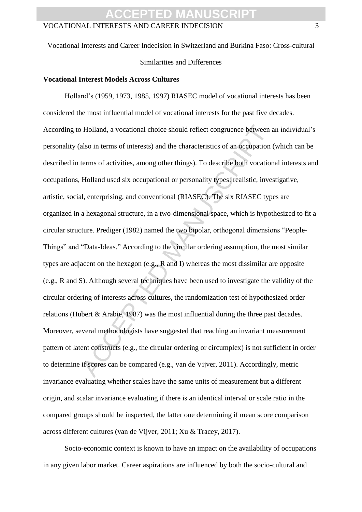Vocational Interests and Career Indecision in Switzerland and Burkina Faso: Cross-cultural

Similarities and Differences

#### **Vocational Interest Models Across Cultures**

Holland, a vocational choice should reflect congruence between as<br>also in terms of interests) and the characteristics of an occupation terms<br>of activities, among other things). To describe both vocation<br>Holland used six o Holland's (1959, 1973, 1985, 1997) RIASEC model of vocational interests has been considered the most influential model of vocational interests for the past five decades. According to Holland, a vocational choice should reflect congruence between an individual's personality (also in terms of interests) and the characteristics of an occupation (which can be described in terms of activities, among other things). To describe both vocational interests and occupations, Holland used six occupational or personality types: realistic, investigative, artistic, social, enterprising, and conventional (RIASEC). The six RIASEC types are organized in a hexagonal structure, in a two-dimensional space, which is hypothesized to fit a circular structure. Prediger (1982) named the two bipolar, orthogonal dimensions "People-Things" and "Data-Ideas." According to the circular ordering assumption, the most similar types are adjacent on the hexagon (e.g., R and I) whereas the most dissimilar are opposite (e.g., R and S). Although several techniques have been used to investigate the validity of the circular ordering of interests across cultures, the randomization test of hypothesized order relations (Hubert & Arabie, 1987) was the most influential during the three past decades. Moreover, several methodologists have suggested that reaching an invariant measurement pattern of latent constructs (e.g., the circular ordering or circumplex) is not sufficient in order to determine if scores can be compared (e.g., van de Vijver, 2011). Accordingly, metric invariance evaluating whether scales have the same units of measurement but a different origin, and scalar invariance evaluating if there is an identical interval or scale ratio in the compared groups should be inspected, the latter one determining if mean score comparison across different cultures (van de Vijver, 2011; Xu & Tracey, 2017).

Socio-economic context is known to have an impact on the availability of occupations in any given labor market. Career aspirations are influenced by both the socio-cultural and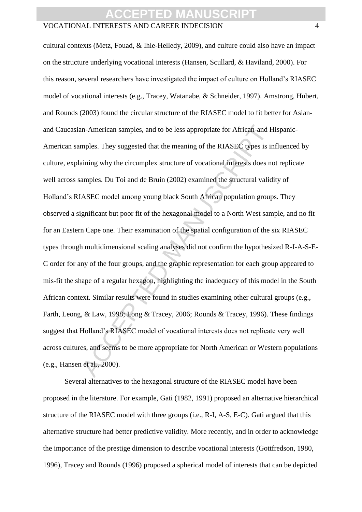#### VOCATIONAL INTERESTS AND CAREER INDECISION 4

In-American samples, and to be less appropriate for African-and H<br>mples. They suggested that the meaning of the RIASEC types is ir<br>aining why the circumplex structure of vocational interests does no<br>amples. Du Toi and de B cultural contexts (Metz, Fouad, & Ihle-Helledy, 2009), and culture could also have an impact on the structure underlying vocational interests (Hansen, Scullard, & Haviland, 2000). For this reason, several researchers have investigated the impact of culture on Holland's RIASEC model of vocational interests (e.g., Tracey, Watanabe, & Schneider, 1997). Amstrong, Hubert, and Rounds (2003) found the circular structure of the RIASEC model to fit better for Asianand Caucasian-American samples, and to be less appropriate for African-and Hispanic-American samples. They suggested that the meaning of the RIASEC types is influenced by culture, explaining why the circumplex structure of vocational interests does not replicate well across samples. Du Toi and de Bruin (2002) examined the structural validity of Holland's RIASEC model among young black South African population groups. They observed a significant but poor fit of the hexagonal model to a North West sample, and no fit for an Eastern Cape one. Their examination of the spatial configuration of the six RIASEC types through multidimensional scaling analyses did not confirm the hypothesized R-I-A-S-E-C order for any of the four groups, and the graphic representation for each group appeared to mis-fit the shape of a regular hexagon, highlighting the inadequacy of this model in the South African context. Similar results were found in studies examining other cultural groups (e.g., Farth, Leong, & Law, 1998; Long & Tracey, 2006; Rounds & Tracey, 1996). These findings suggest that Holland's RIASEC model of vocational interests does not replicate very well across cultures, and seems to be more appropriate for North American or Western populations (e.g., Hansen et al., 2000).

Several alternatives to the hexagonal structure of the RIASEC model have been proposed in the literature. For example, Gati (1982, 1991) proposed an alternative hierarchical structure of the RIASEC model with three groups (i.e., R-I, A-S, E-C). Gati argued that this alternative structure had better predictive validity. More recently, and in order to acknowledge the importance of the prestige dimension to describe vocational interests (Gottfredson, 1980, 1996), Tracey and Rounds (1996) proposed a spherical model of interests that can be depicted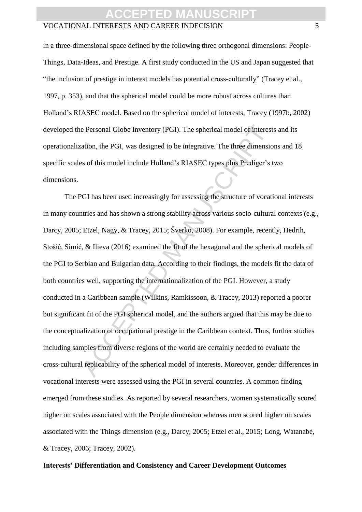#### VOCATIONAL INTERESTS AND CAREER INDECISION 5

in a three-dimensional space defined by the following three orthogonal dimensions: People-Things, Data-Ideas, and Prestige. A first study conducted in the US and Japan suggested that "the inclusion of prestige in interest models has potential cross-culturally" (Tracey et al., 1997, p. 353), and that the spherical model could be more robust across cultures than Holland's RIASEC model. Based on the spherical model of interests, Tracey (1997b, 2002) developed the Personal Globe Inventory (PGI). The spherical model of interests and its operationalization, the PGI, was designed to be integrative. The three dimensions and 18 specific scales of this model include Holland's RIASEC types plus Prediger's two dimensions.

e Personal Globe Inventory (PGI). The spherical model of interest<br>ation, the PGI, was designed to be integrative. The three dimensio<br>so f this model include Holland's RIASEC types plus Prediger's t<br>Sef this model include H The PGI has been used increasingly for assessing the structure of vocational interests in many countries and has shown a strong stability across various socio-cultural contexts (e.g., Darcy, 2005; Etzel, Nagy, & Tracey, 2015; Šverko, 2008). For example, recently, Hedrih, Stošić, Simić, & Ilieva (2016) examined the fit of the hexagonal and the spherical models of the PGI to Serbian and Bulgarian data. According to their findings, the models fit the data of both countries well, supporting the internationalization of the PGI. However, a study conducted in a Caribbean sample (Wilkins, Ramkissoon, & Tracey, 2013) reported a poorer but significant fit of the PGI spherical model, and the authors argued that this may be due to the conceptualization of occupational prestige in the Caribbean context. Thus, further studies including samples from diverse regions of the world are certainly needed to evaluate the cross-cultural replicability of the spherical model of interests. Moreover, gender differences in vocational interests were assessed using the PGI in several countries. A common finding emerged from these studies. As reported by several researchers, women systematically scored higher on scales associated with the People dimension whereas men scored higher on scales associated with the Things dimension (e.g., Darcy, 2005; Etzel et al., 2015; Long, Watanabe, & Tracey, 2006; Tracey, 2002).

#### **Interests' Differentiation and Consistency and Career Development Outcomes**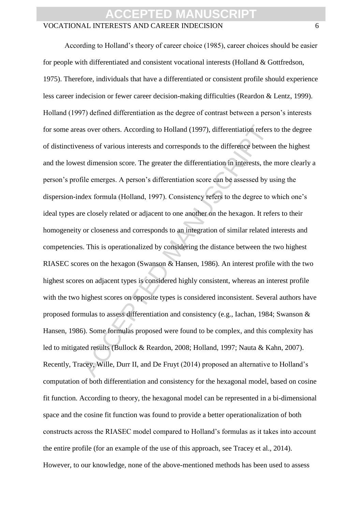### **ACCEPTED**

#### VOCATIONAL INTERESTS AND CAREER INDECISION 6

as over others. According to Holland (1997), differentiation refers<br>eness of various interests and corresponds to the difference between<br>st dimension score. The greater the differentiation in interests, the<br>file emerges. A According to Holland's theory of career choice (1985), career choices should be easier for people with differentiated and consistent vocational interests (Holland & Gottfredson, 1975). Therefore, individuals that have a differentiated or consistent profile should experience less career indecision or fewer career decision-making difficulties (Reardon & Lentz, 1999). Holland (1997) defined differentiation as the degree of contrast between a person's interests for some areas over others. According to Holland (1997), differentiation refers to the degree of distinctiveness of various interests and corresponds to the difference between the highest and the lowest dimension score. The greater the differentiation in interests, the more clearly a person's profile emerges. A person's differentiation score can be assessed by using the dispersion-index formula (Holland, 1997). Consistency refers to the degree to which one's ideal types are closely related or adjacent to one another on the hexagon. It refers to their homogeneity or closeness and corresponds to an integration of similar related interests and competencies. This is operationalized by considering the distance between the two highest RIASEC scores on the hexagon (Swanson & Hansen, 1986). An interest profile with the two highest scores on adjacent types is considered highly consistent, whereas an interest profile with the two highest scores on opposite types is considered inconsistent. Several authors have proposed formulas to assess differentiation and consistency (e.g., Iachan, 1984; Swanson & Hansen, 1986). Some formulas proposed were found to be complex, and this complexity has led to mitigated results (Bullock & Reardon, 2008; Holland, 1997; Nauta & Kahn, 2007). Recently, Tracey, Wille, Durr II, and De Fruyt (2014) proposed an alternative to Holland's computation of both differentiation and consistency for the hexagonal model, based on cosine fit function. According to theory, the hexagonal model can be represented in a bi-dimensional space and the cosine fit function was found to provide a better operationalization of both constructs across the RIASEC model compared to Holland's formulas as it takes into account the entire profile (for an example of the use of this approach, see Tracey et al., 2014). However, to our knowledge, none of the above-mentioned methods has been used to assess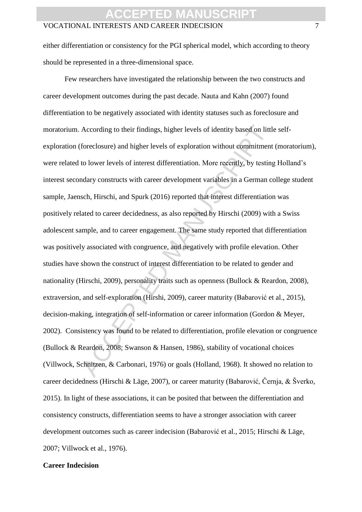either differentiation or consistency for the PGI spherical model, which according to theory should be represented in a three-dimensional space.

According to their findings, higher levels of identity based on littl<br>foreclosure) and higher levels of exploration without commitment<br>to lower levels of interest differentiation. More recently, by testing<br>ndary constructs Few researchers have investigated the relationship between the two constructs and career development outcomes during the past decade. Nauta and Kahn (2007) found differentiation to be negatively associated with identity statuses such as foreclosure and moratorium. According to their findings, higher levels of identity based on little selfexploration (foreclosure) and higher levels of exploration without commitment (moratorium), were related to lower levels of interest differentiation. More recently, by testing Holland's interest secondary constructs with career development variables in a German college student sample, Jaensch, Hirschi, and Spurk (2016) reported that interest differentiation was positively related to career decidedness, as also reported by Hirschi (2009) with a Swiss adolescent sample, and to career engagement. The same study reported that differentiation was positively associated with congruence, and negatively with profile elevation. Other studies have shown the construct of interest differentiation to be related to gender and nationality (Hirschi, 2009), personality traits such as openness (Bullock & Reardon, 2008), extraversion, and self-exploration (Hirshi, 2009), career maturity (Babarović et al., 2015), decision-making, integration of self-information or career information (Gordon & Meyer, 2002). Consistency was found to be related to differentiation, profile elevation or congruence (Bullock & Reardon, 2008; Swanson & Hansen, 1986), stability of vocational choices (Villwock, Schnitzen, & Carbonari, 1976) or goals (Holland, 1968). It showed no relation to career decidedness (Hirschi & Läge, 2007), or career maturity (Babarović, Černja, & Šverko, 2015). In light of these associations, it can be posited that between the differentiation and consistency constructs, differentiation seems to have a stronger association with career development outcomes such as career indecision (Babarović et al., 2015; Hirschi & Läge, 2007; Villwock et al., 1976).

#### **Career Indecision**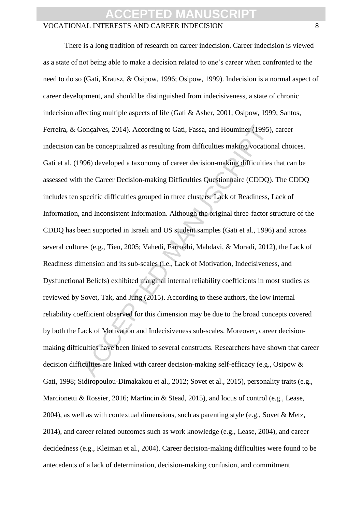# **CCEPT**

#### VOCATIONAL INTERESTS AND CAREER INDECISION 8

Bonçalves, 2014). According to Gati, Fassa, and Houminer (1995), an be conceptualized as resulting from difficulties making vocation<br>996) developed a taxonomy of career decision-making difficulties<br>1. the Career Decision-m There is a long tradition of research on career indecision. Career indecision is viewed as a state of not being able to make a decision related to one's career when confronted to the need to do so (Gati, Krausz, & Osipow, 1996; Osipow, 1999). Indecision is a normal aspect of career development, and should be distinguished from indecisiveness, a state of chronic indecision affecting multiple aspects of life (Gati & Asher, 2001; Osipow, 1999; Santos, Ferreira, & Gonçalves, 2014). According to Gati, Fassa, and Houminer (1995), career indecision can be conceptualized as resulting from difficulties making vocational choices. Gati et al. (1996) developed a taxonomy of career decision-making difficulties that can be assessed with the Career Decision-making Difficulties Questionnaire (CDDQ). The CDDQ includes ten specific difficulties grouped in three clusters: Lack of Readiness, Lack of Information, and Inconsistent Information. Although the original three-factor structure of the CDDQ has been supported in Israeli and US student samples (Gati et al., 1996) and across several cultures (e.g., Tien, 2005; Vahedi, Farrokhi, Mahdavi, & Moradi, 2012), the Lack of Readiness dimension and its sub-scales (i.e., Lack of Motivation, Indecisiveness, and Dysfunctional Beliefs) exhibited marginal internal reliability coefficients in most studies as reviewed by Sovet, Tak, and Jung (2015). According to these authors, the low internal reliability coefficient observed for this dimension may be due to the broad concepts covered by both the Lack of Motivation and Indecisiveness sub-scales. Moreover, career decisionmaking difficulties have been linked to several constructs. Researchers have shown that career decision difficulties are linked with career decision-making self-efficacy (e.g., Osipow & Gati, 1998; Sidiropoulou-Dimakakou et al., 2012; Sovet et al., 2015), personality traits (e.g., Marcionetti & Rossier, 2016; Martincin & Stead, 2015), and locus of control (e.g., Lease, 2004), as well as with contextual dimensions, such as parenting style (e.g., Sovet & Metz, 2014), and career related outcomes such as work knowledge (e.g., Lease, 2004), and career decidedness (e.g., Kleiman et al., 2004). Career decision-making difficulties were found to be antecedents of a lack of determination, decision-making confusion, and commitment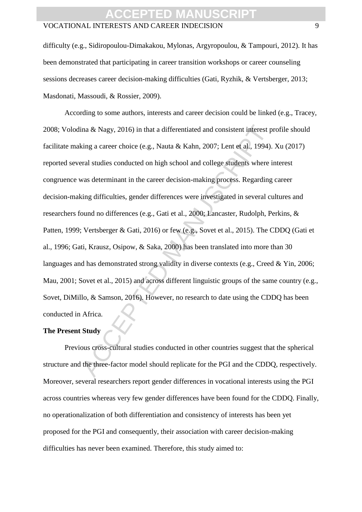#### VOCATIONAL INTERESTS AND CAREER INDECISION 9

difficulty (e.g., Sidiropoulou-Dimakakou, Mylonas, Argyropoulou, & Tampouri, 2012). It has been demonstrated that participating in career transition workshops or career counseling sessions decreases career decision-making difficulties (Gati, Ryzhik, & Vertsberger, 2013; Masdonati, Massoudi, & Rossier, 2009).

ina & Nagy, 2016) in that a differentiated and consistent interest p<br>king a career choice (e.g., Nauta & Kahn, 2007; Lent et al., 1994).<br>First states conducted on high school and college students where it<br>was determinant i According to some authors, interests and career decision could be linked (e.g., Tracey, 2008; Volodina & Nagy, 2016) in that a differentiated and consistent interest profile should facilitate making a career choice (e.g., Nauta & Kahn, 2007; Lent et al., 1994). Xu (2017) reported several studies conducted on high school and college students where interest congruence was determinant in the career decision-making process. Regarding career decision-making difficulties, gender differences were investigated in several cultures and researchers found no differences (e.g., Gati et al., 2000; Lancaster, Rudolph, Perkins, & Patten, 1999; Vertsberger & Gati, 2016) or few (e.g., Sovet et al., 2015). The CDDQ (Gati et al., 1996; Gati, Krausz, Osipow, & Saka, 2000) has been translated into more than 30 languages and has demonstrated strong validity in diverse contexts (e.g., Creed & Yin, 2006; Mau, 2001; Sovet et al., 2015) and across different linguistic groups of the same country (e.g., Sovet, DiMillo, & Samson, 2016). However, no research to date using the CDDQ has been conducted in Africa.

#### **The Present Study**

Previous cross-cultural studies conducted in other countries suggest that the spherical structure and the three-factor model should replicate for the PGI and the CDDQ, respectively. Moreover, several researchers report gender differences in vocational interests using the PGI across countries whereas very few gender differences have been found for the CDDQ. Finally, no operationalization of both differentiation and consistency of interests has been yet proposed for the PGI and consequently, their association with career decision-making difficulties has never been examined. Therefore, this study aimed to: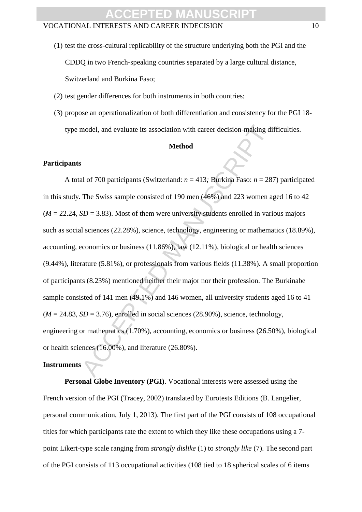- (1) test the cross-cultural replicability of the structure underlying both the PGI and the CDDQ in two French-speaking countries separated by a large cultural distance, Switzerland and Burkina Faso;
- (2) test gender differences for both instruments in both countries;
- (3) propose an operationalization of both differentiation and consistency for the PGI 18 type model, and evaluate its association with career decision-making difficulties.

#### **Method**

#### **Participants**

model, and evaluate its association with career decision-making di<br>
Method<br>
S<br>
Al of 700 participants (Switzerland:  $n = 413$ ; Burkina Faso:  $n = 28$ <br>
The Swiss sample consisted of 190 men (46%) and 223 women a;<br>
SD = 3.83) A total of 700 participants (Switzerland: *n* = 413*;* Burkina Faso: *n* = 287) participated in this study. The Swiss sample consisted of 190 men (46%) and 223 women aged 16 to 42  $(M = 22.24, SD = 3.83)$ . Most of them were university students enrolled in various majors such as social sciences (22.28%), science, technology, engineering or mathematics (18.89%), accounting, economics or business (11.86%), law (12.11%), biological or health sciences (9.44%), literature (5.81%), or professionals from various fields (11.38%). A small proportion of participants (8.23%) mentioned neither their major nor their profession. The Burkinabe sample consisted of 141 men (49.1%) and 146 women, all university students aged 16 to 41  $(M = 24.83, SD = 3.76)$ , enrolled in social sciences (28.90%), science, technology, engineering or mathematics (1.70%), accounting, economics or business (26.50%), biological or health sciences (16.00%), and literature (26.80%).

#### **Instruments**

**Personal Globe Inventory (PGI)**. Vocational interests were assessed using the French version of the PGI (Tracey, 2002) translated by Eurotests Editions (B. Langelier, personal communication, July 1, 2013). The first part of the PGI consists of 108 occupational titles for which participants rate the extent to which they like these occupations using a 7 point Likert-type scale ranging from *strongly dislike* (1) to *strongly like* (7). The second part of the PGI consists of 113 occupational activities (108 tied to 18 spherical scales of 6 items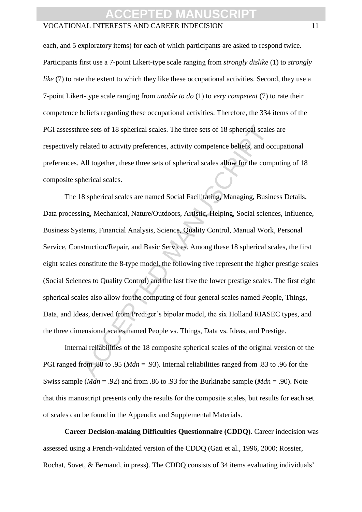#### VOCATIONAL INTERESTS AND CAREER INDECISION 11

each, and 5 exploratory items) for each of which participants are asked to respond twice. Participants first use a 7-point Likert-type scale ranging from *strongly dislike* (1) to *strongly like* (7) to rate the extent to which they like these occupational activities. Second, they use a 7-point Likert-type scale ranging from *unable to do* (1) to *very competent* (7) to rate their competence beliefs regarding these occupational activities. Therefore, the 334 items of the PGI assessthree sets of 18 spherical scales. The three sets of 18 spherical scales are respectively related to activity preferences, activity competence beliefs, and occupational preferences. All together, these three sets of spherical scales allow for the computing of 18 composite spherical scales.

ree sets of 18 spherical scales. The three sets of 18 spherical scales<br>related to activity preferences, activity competence beliefs, and oc<br>All together, these three sets of spherical scales allow for the comp<br>herical scal The 18 spherical scales are named Social Facilitating, Managing, Business Details, Data processing, Mechanical, Nature/Outdoors, Artistic, Helping, Social sciences, Influence, Business Systems, Financial Analysis, Science, Quality Control, Manual Work, Personal Service, Construction/Repair, and Basic Services. Among these 18 spherical scales, the first eight scales constitute the 8-type model, the following five represent the higher prestige scales (Social Sciences to Quality Control) and the last five the lower prestige scales. The first eight spherical scales also allow for the computing of four general scales named People, Things, Data, and Ideas, derived from Prediger's bipolar model, the six Holland RIASEC types, and the three dimensional scales named People vs. Things, Data vs. Ideas, and Prestige.

Internal reliabilities of the 18 composite spherical scales of the original version of the PGI ranged from .88 to .95 (*Mdn* = .93). Internal reliabilities ranged from .83 to .96 for the Swiss sample (*Mdn* = .92) and from .86 to .93 for the Burkinabe sample (*Mdn* = .90). Note that this manuscript presents only the results for the composite scales, but results for each set of scales can be found in the Appendix and Supplemental Materials.

**Career Decision-making Difficulties Questionnaire (CDDQ)**. Career indecision was assessed using a French-validated version of the CDDQ (Gati et al., 1996, 2000; Rossier, Rochat, Sovet, & Bernaud, in press). The CDDQ consists of 34 items evaluating individuals'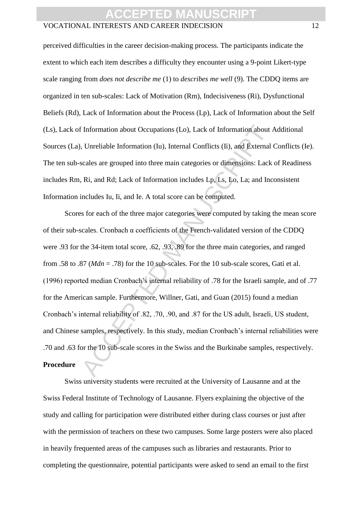#### VOCATIONAL INTERESTS AND CAREER INDECISION 12

perceived difficulties in the career decision-making process. The participants indicate the extent to which each item describes a difficulty they encounter using a 9-point Likert-type scale ranging from *does not describe me* (1) to *describes me well* (9). The CDDQ items are organized in ten sub-scales: Lack of Motivation (Rm), Indecisiveness (Ri), Dysfunctional Beliefs (Rd), Lack of Information about the Process (Lp), Lack of Information about the Self (Ls), Lack of Information about Occupations (Lo), Lack of Information about Additional Sources (La), Unreliable Information (Iu), Internal Conflicts (Ii), and External Conflicts (Ie). The ten sub-scales are grouped into three main categories or dimensions: Lack of Readiness includes Rm, Ri, and Rd; Lack of Information includes Lp, Ls, Lo, La; and Inconsistent Information includes Iu, Ii, and Ie. A total score can be computed.

Information about Occupations (Lo), Lack of Information about  $\lambda$ , Unreliable Information (Iu), Internal Conflicts (Ii), and External scales are grouped into three main categories or dimensions: Lack Ri, and Rd; Lack of Scores for each of the three major categories were computed by taking the mean score of their sub-scales. Cronbach α coefficients of the French-validated version of the CDDQ were .93 for the 34-item total score, .62, .93, .89 for the three main categories, and ranged from .58 to .87 ( $Mdn = .78$ ) for the 10 sub-scales. For the 10 sub-scale scores, Gati et al. (1996) reported median Cronbach's internal reliability of .78 for the Israeli sample, and of .77 for the American sample. Furthermore, Willner, Gati, and Guan (2015) found a median Cronbach's internal reliability of .82, .70, .90, and .87 for the US adult, Israeli, US student, and Chinese samples, respectively. In this study, median Cronbach's internal reliabilities were .70 and .63 for the 10 sub-scale scores in the Swiss and the Burkinabe samples, respectively. **Procedure**

Swiss university students were recruited at the University of Lausanne and at the Swiss Federal Institute of Technology of Lausanne. Flyers explaining the objective of the study and calling for participation were distributed either during class courses or just after with the permission of teachers on these two campuses. Some large posters were also placed in heavily frequented areas of the campuses such as libraries and restaurants. Prior to completing the questionnaire, potential participants were asked to send an email to the first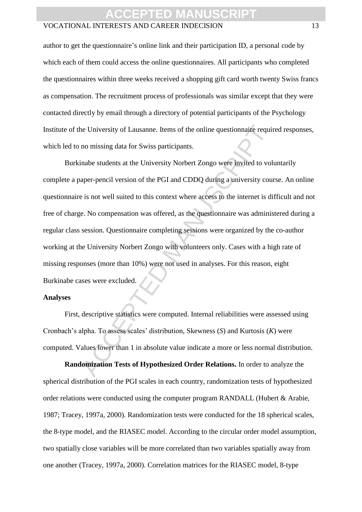#### VOCATIONAL INTERESTS AND CAREER INDECISION 13

author to get the questionnaire's online link and their participation ID, a personal code by which each of them could access the online questionnaires. All participants who completed the questionnaires within three weeks received a shopping gift card worth twenty Swiss francs as compensation. The recruitment process of professionals was similar except that they were contacted directly by email through a directory of potential participants of the Psychology Institute of the University of Lausanne. Items of the online questionnaire required responses, which led to no missing data for Swiss participants.

The University of Lausanne. Items of the online questionnaire required no missing data for Swiss participants.<br>
Inabe students at the University Norbert Zongo were invited to vol<br>
aper-pencil version of the PGI and CDDQ du Burkinabe students at the University Norbert Zongo were invited to voluntarily complete a paper-pencil version of the PGI and CDDQ during a university course. An online questionnaire is not well suited to this context where access to the internet is difficult and not free of charge. No compensation was offered, as the questionnaire was administered during a regular class session. Questionnaire completing sessions were organized by the co-author working at the University Norbert Zongo with volunteers only. Cases with a high rate of missing responses (more than 10%) were not used in analyses. For this reason, eight Burkinabe cases were excluded.

#### **Analyses**

First, descriptive statistics were computed. Internal reliabilities were assessed using Cronbach's alpha. To assess scales' distribution, Skewness (*S*) and Kurtosis (*K*) were computed. Values lower than 1 in absolute value indicate a more or less normal distribution.

**Randomization Tests of Hypothesized Order Relations.** In order to analyze the spherical distribution of the PGI scales in each country, randomization tests of hypothesized order relations were conducted using the computer program RANDALL (Hubert & Arabie, 1987; Tracey, 1997a, 2000). Randomization tests were conducted for the 18 spherical scales, the 8-type model, and the RIASEC model. According to the circular order model assumption, two spatially close variables will be more correlated than two variables spatially away from one another (Tracey, 1997a, 2000). Correlation matrices for the RIASEC model, 8-type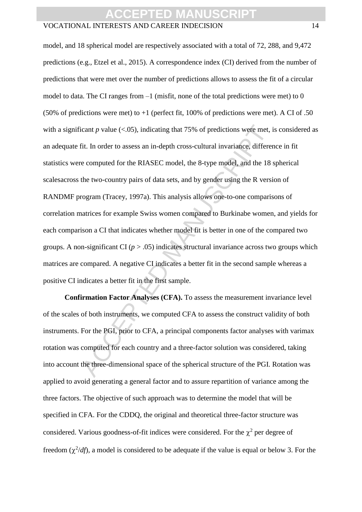#### VOCATIONAL INTERESTS AND CAREER INDECISION 14

icant *p* value (<.05), indicating that 75% of predictions were met, if<br>it. In order to assess an in-depth cross-cultural invariance, different<br>e computed for the RIASEC model, the 8-type model, and the 18 :<br>the two-count model, and 18 spherical model are respectively associated with a total of 72, 288, and 9,472 predictions (e.g., Etzel et al., 2015). A correspondence index (CI) derived from the number of predictions that were met over the number of predictions allows to assess the fit of a circular model to data. The CI ranges from  $-1$  (misfit, none of the total predictions were met) to 0 (50% of predictions were met) to  $+1$  (perfect fit, 100% of predictions were met). A CI of .50 with a significant  $p$  value  $( $0.05$ ), indicating that 75% of predictions were met, is considered as$ an adequate fit. In order to assess an in-depth cross-cultural invariance, difference in fit statistics were computed for the RIASEC model, the 8-type model, and the 18 spherical scalesacross the two-country pairs of data sets, and by gender using the R version of RANDMF program (Tracey, 1997a). This analysis allows one-to-one comparisons of correlation matrices for example Swiss women compared to Burkinabe women, and yields for each comparison a CI that indicates whether model fit is better in one of the compared two groups. A non-significant CI ( $p > .05$ ) indicates structural invariance across two groups which matrices are compared. A negative CI indicates a better fit in the second sample whereas a positive CI indicates a better fit in the first sample.

**Confirmation Factor Analyses (CFA).** To assess the measurement invariance level of the scales of both instruments, we computed CFA to assess the construct validity of both instruments. For the PGI, prior to CFA, a principal components factor analyses with varimax rotation was computed for each country and a three-factor solution was considered, taking into account the three-dimensional space of the spherical structure of the PGI. Rotation was applied to avoid generating a general factor and to assure repartition of variance among the three factors. The objective of such approach was to determine the model that will be specified in CFA. For the CDDQ, the original and theoretical three-factor structure was considered. Various goodness-of-fit indices were considered. For the  $\chi^2$  per degree of freedom  $(\chi^2/df)$ , a model is considered to be adequate if the value is equal or below 3. For the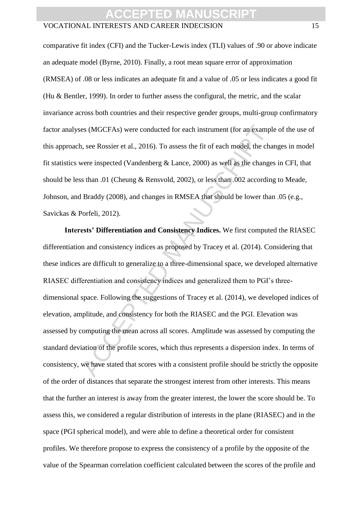#### VOCATIONAL INTERESTS AND CAREER INDECISION 15

comparative fit index (CFI) and the Tucker-Lewis index (TLI) values of .90 or above indicate an adequate model (Byrne, 2010). Finally, a root mean square error of approximation (RMSEA) of .08 or less indicates an adequate fit and a value of .05 or less indicates a good fit (Hu & Bentler, 1999). In order to further assess the configural, the metric, and the scalar invariance across both countries and their respective gender groups, multi-group confirmatory factor analyses (MGCFAs) were conducted for each instrument (for an example of the use of this approach, see Rossier et al., 2016). To assess the fit of each model, the changes in model fit statistics were inspected (Vandenberg  $\&$  Lance, 2000) as well as the changes in CFI, that should be less than .01 (Cheung & Rensvold, 2002), or less than .002 according to Meade, Johnson, and Braddy (2008), and changes in RMSEA that should be lower than .05 (e.g., Savickas & Porfeli, 2012).

es (MGCFAs) were conducted for each instrument (for an example), see Rossier et al., 2016). To assess the fit of each model, the change are inspected (Vandenberg & Lance, 2000) as well as the changes shan .01 (Cheung & Ren **Interests' Differentiation and Consistency Indices.** We first computed the RIASEC differentiation and consistency indices as proposed by Tracey et al. (2014). Considering that these indices are difficult to generalize to a three-dimensional space, we developed alternative RIASEC differentiation and consistency indices and generalized them to PGI's threedimensional space. Following the suggestions of Tracey et al. (2014), we developed indices of elevation, amplitude, and consistency for both the RIASEC and the PGI. Elevation was assessed by computing the mean across all scores. Amplitude was assessed by computing the standard deviation of the profile scores, which thus represents a dispersion index. In terms of consistency, we have stated that scores with a consistent profile should be strictly the opposite of the order of distances that separate the strongest interest from other interests. This means that the further an interest is away from the greater interest, the lower the score should be. To assess this, we considered a regular distribution of interests in the plane (RIASEC) and in the space (PGI spherical model), and were able to define a theoretical order for consistent profiles. We therefore propose to express the consistency of a profile by the opposite of the value of the Spearman correlation coefficient calculated between the scores of the profile and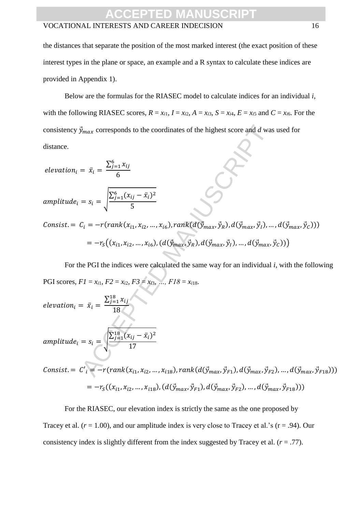### ACCEPTED MAN

#### VOCATIONAL INTERESTS AND CAREER INDECISION 16

the distances that separate the position of the most marked interest (the exact position of these interest types in the plane or space, an example and a R syntax to calculate these indices are provided in Appendix 1).

Below are the formulas for the RIASEC model to calculate indices for an individual *i*, with the following RIASEC scores,  $R = x_{i1}$ ,  $I = x_{i2}$ ,  $A = x_{i3}$ ,  $S = x_{i4}$ ,  $E = x_{i5}$  and  $C = x_{i6}$ . For the consistency  $\vec{y}_{max}$  corresponds to the coordinates of the highest score and *d* was used for distance.

 $\vec{v}_{max}$  corresponds to the coordinates of the highest score and d was<br>  $\vec{v}_{max}$  corresponds to the coordinates of the highest score and d was<br>  $\vec{v}_{i} = \vec{x}_{i} = \sqrt{\frac{\sum_{j=1}^{6} x_{ij} - \vec{x}_{i}}{5}}$ <br>  $C_{i} = -r(rank(x_{i1}, x_{i2}, ..., x_{i6}), rank(d$  $elevation_i = \bar{x}_i =$  $\sum_{j=1}^6 x_{ij}$ 6  $amplitude_i = s_i = \frac{\sum_{j=1}^{6} (x_{ij} - \bar{x}_i)^2}{\epsilon}$ 5 Consist. =  $C_i = -r(rank(x_{i1}, x_{i2}, ..., x_{i6}), rank(d(\vec{y}_{max}, \vec{y}_R), d(\vec{y}_{max}, \vec{y}_I), ..., d(\vec{y}_{max}, \vec{y}_C)))$  $= -r_S((x_{i1}, x_{i2}, ..., x_{i6}), (d(\vec{y}_{max}, \vec{y}_R), d(\vec{y}_{max}, \vec{y}_I), ..., d(\vec{y}_{max}, \vec{y}_C)))$ 

For the PGI the indices were calculated the same way for an individual *i*, with the following PGI scores,  $FI = x_{i1}$ ,  $F2 = x_{i2}$ ,  $F3 = x_{i3}$ , *…,*  $F18 = x_{i18}$ *.* 

$$
elevation_{i} = \bar{x}_{i} = \frac{\sum_{j=1}^{18} x_{ij}}{18}
$$
\n
$$
amplitude_{i} = s_{i} = \sqrt{\frac{\sum_{j=1}^{18} (x_{ij} - \bar{x}_{i})^{2}}{17}}
$$
\n
$$
Consist = C'_{i} = -r(rank(x_{i1}, x_{i2}, ..., x_{i18}), rank(d(\vec{y}_{max}, \vec{y}_{F1}), d(\vec{y}_{max}, \vec{y}_{F2}), ..., d(\vec{y}_{max}, \vec{y}_{F18})))
$$
\n
$$
= -r_{S}((x_{i1}, x_{i2}, ..., x_{i18}), (d(\vec{y}_{max}, \vec{y}_{F1}), d(\vec{y}_{max}, \vec{y}_{F2}), ..., d(\vec{y}_{max}, \vec{y}_{F18})))
$$

For the RIASEC, our elevation index is strictly the same as the one proposed by Tracey et al.  $(r = 1.00)$ , and our amplitude index is very close to Tracey et al.'s  $(r = .94)$ . Our consistency index is slightly different from the index suggested by Tracey et al.  $(r = .77)$ .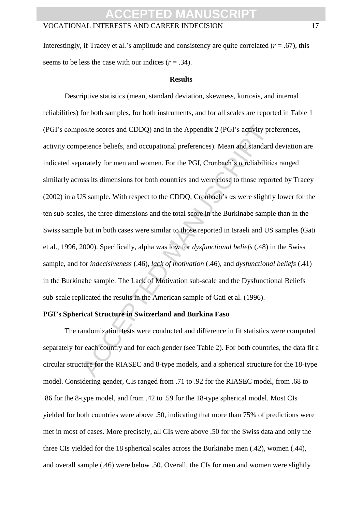Interestingly, if Tracey et al.'s amplitude and consistency are quite correlated  $(r = .67)$ , this seems to be less the case with our indices  $(r = .34)$ .

#### **Results**

osite scores and CDDQ) and in the Appendix 2 (PGI's activity prepetence beliefs, and occupational preferences). Mean and standard<br>arately for men and women. For the PGI, Cronbach's  $\alpha$  reliabilities<br>oss its dimensions for Descriptive statistics (mean, standard deviation, skewness, kurtosis, and internal reliabilities) for both samples, for both instruments, and for all scales are reported in Table 1 (PGI's composite scores and CDDQ) and in the Appendix 2 (PGI's activity preferences, activity competence beliefs, and occupational preferences). Mean and standard deviation are indicated separately for men and women. For the PGI, Cronbach's α reliabilities ranged similarly across its dimensions for both countries and were close to those reported by Tracey (2002) in a US sample. With respect to the CDDQ, Cronbach's αs were slightly lower for the ten sub-scales, the three dimensions and the total score in the Burkinabe sample than in the Swiss sample but in both cases were similar to those reported in Israeli and US samples (Gati et al., 1996, 2000). Specifically, alpha was low for *dysfunctional beliefs* (.48) in the Swiss sample, and for *indecisiveness* (.46), *lack of motivation* (.46), and *dysfunctional beliefs* (.41) in the Burkinabe sample. The Lack of Motivation sub-scale and the Dysfunctional Beliefs sub-scale replicated the results in the American sample of Gati et al. (1996).

#### **PGI's Spherical Structure in Switzerland and Burkina Faso**

The randomization tests were conducted and difference in fit statistics were computed separately for each country and for each gender (see Table 2). For both countries, the data fit a circular structure for the RIASEC and 8-type models, and a spherical structure for the 18-type model. Considering gender, CIs ranged from .71 to .92 for the RIASEC model, from .68 to .86 for the 8-type model, and from .42 to .59 for the 18-type spherical model. Most CIs yielded for both countries were above .50, indicating that more than 75% of predictions were met in most of cases. More precisely, all CIs were above .50 for the Swiss data and only the three CIs yielded for the 18 spherical scales across the Burkinabe men (.42), women (.44), and overall sample (.46) were below .50. Overall, the CIs for men and women were slightly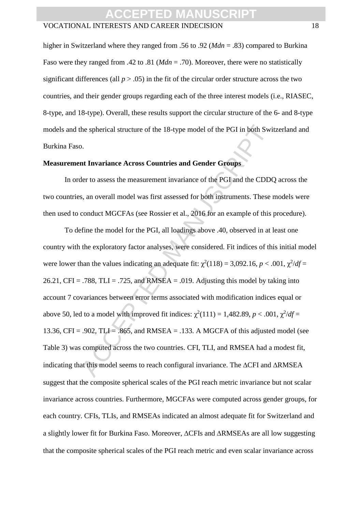#### VOCATIONAL INTERESTS AND CAREER INDECISION 18

higher in Switzerland where they ranged from .56 to .92 (*Mdn* = .83) compared to Burkina Faso were they ranged from .42 to .81 (*Mdn* = .70). Moreover, there were no statistically significant differences (all  $p > .05$ ) in the fit of the circular order structure across the two countries, and their gender groups regarding each of the three interest models (i.e., RIASEC, 8-type, and 18-type). Overall, these results support the circular structure of the 6- and 8-type models and the spherical structure of the 18-type model of the PGI in both Switzerland and Burkina Faso.

#### **Measurement Invariance Across Countries and Gender Groups**

In order to assess the measurement invariance of the PGI and the CDDQ across the two countries, an overall model was first assessed for both instruments. These models were then used to conduct MGCFAs (see Rossier et al., 2016 for an example of this procedure).

the spherical structure of the 18-type model of the PGI in both Swi<br>
2.<br>
At Invariance Across Countries and Gender Groups<br>
2.<br>
At Invariance Across Countries and Gender Groups<br>
5. An overall model was first assessed for b To define the model for the PGI, all loadings above .40, observed in at least one country with the exploratory factor analyses, were considered. Fit indices of this initial model were lower than the values indicating an adequate fit:  $\chi^2(118) = 3,092.16$ ,  $p < .001$ ,  $\chi^2/df =$ 26.21, CFI = .788, TLI = .725, and RMSEA = .019. Adjusting this model by taking into account 7 covariances between error terms associated with modification indices equal or above 50, led to a model with improved fit indices:  $\chi^2(111) = 1,482.89, p < .001, \chi^2/df =$ 13.36, CFI = .902, TLI = .865, and RMSEA = .133. A MGCFA of this adjusted model (see Table 3) was computed across the two countries. CFI, TLI, and RMSEA had a modest fit, indicating that this model seems to reach configural invariance. The  $\triangle$ CFI and  $\triangle$ RMSEA suggest that the composite spherical scales of the PGI reach metric invariance but not scalar invariance across countries. Furthermore, MGCFAs were computed across gender groups, for each country. CFIs, TLIs, and RMSEAs indicated an almost adequate fit for Switzerland and a slightly lower fit for Burkina Faso. Moreover,  $\triangle CFIs$  and  $\triangle RMSEAs$  are all low suggesting that the composite spherical scales of the PGI reach metric and even scalar invariance across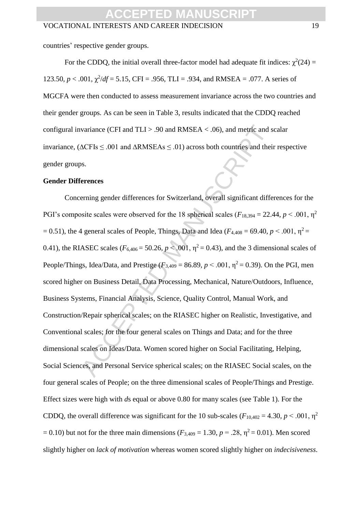countries' respective gender groups.

For the CDDQ, the initial overall three-factor model had adequate fit indices:  $\chi^2(24)$  = 123.50,  $p < .001$ ,  $\chi^2/df = 5.15$ , CFI = .956, TLI = .934, and RMSEA = .077. A series of MGCFA were then conducted to assess measurement invariance across the two countries and their gender groups. As can be seen in Table 3, results indicated that the CDDQ reached configural invariance (CFI and  $TLI > .90$  and  $RMSEA < .06$ ), and metric and scalar invariance, ( $\Delta$ CFIs  $\leq$  .001 and  $\Delta$ RMSEAs  $\leq$  .01) across both countries and their respective gender groups.

#### **Gender Differences**

variance (CFI and TLI > .90 and RMSEA < .06), and metric and s<br>  $\Delta$ CFIs  $\leq$  .001 and  $\Delta$ RMSEAs  $\leq$  .01) across both countries and thei<br>
s.<br>
s.<br>
s.<br>
s.<br>
s.<br>
s.<br>
d. S. Alternates for Switzerland, overall significant d Concerning gender differences for Switzerland, overall significant differences for the PGI's composite scales were observed for the 18 spherical scales ( $F_{18,394} = 22.44$ ,  $p < .001$ ,  $p<sup>2</sup>$ )  $= 0.51$ ), the 4 general scales of People, Things, Data and Idea ( $F_{4,408} = 69.40$ ,  $p < .001$ ,  $p^2 =$ 0.41), the RIASEC scales ( $F_{6,406} = 50.26$ ,  $p < .001$ ,  $\eta^2 = 0.43$ ), and the 3 dimensional scales of People/Things, Idea/Data, and Prestige  $(F_{3,409} = 86.89, p < .001, \eta^2 = 0.39)$ . On the PGI, men scored higher on Business Detail, Data Processing, Mechanical, Nature/Outdoors, Influence, Business Systems, Financial Analysis, Science, Quality Control, Manual Work, and Construction/Repair spherical scales; on the RIASEC higher on Realistic, Investigative, and Conventional scales; for the four general scales on Things and Data; and for the three dimensional scales on Ideas/Data. Women scored higher on Social Facilitating, Helping, Social Sciences, and Personal Service spherical scales; on the RIASEC Social scales, on the four general scales of People; on the three dimensional scales of People/Things and Prestige. Effect sizes were high with *d*s equal or above 0.80 for many scales (see Table 1). For the CDDO, the overall difference was significant for the 10 sub-scales ( $F_{10,402} = 4.30$ ,  $p < .001$ ,  $p<sup>2</sup>$ )  $= 0.10$ ) but not for the three main dimensions ( $F_{3,409} = 1.30$ ,  $p = .28$ ,  $\eta^2 = 0.01$ ). Men scored slightly higher on *lack of motivation* whereas women scored slightly higher on *indecisiveness*.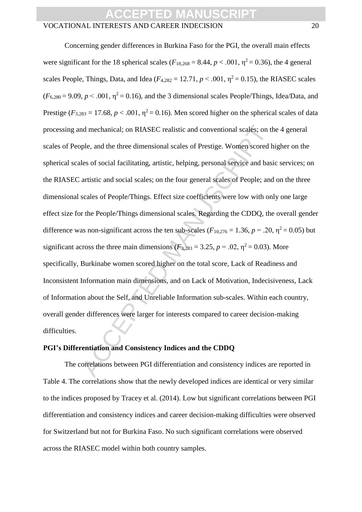#### VOCATIONAL INTERESTS AND CAREER INDECISION 20

and mechanical; on RIASEC realistic and conventional scales; on the ple, and the three dimensional scales of Prestige. Women scored h<br>les of social facilitating, artistic, helping, personal service and basi<br>artistic and s Concerning gender differences in Burkina Faso for the PGI, the overall main effects were significant for the 18 spherical scales ( $F_{18,268} = 8.44$ ,  $p < .001$ ,  $\eta^2 = 0.36$ ), the 4 general scales People, Things, Data, and Idea ( $F_{4,282} = 12.71$ ,  $p < .001$ ,  $p^2 = 0.15$ ), the RIASEC scales  $(F_{6,280} = 9.09, p < .001, \eta^2 = 0.16)$ , and the 3 dimensional scales People/Things, Idea/Data, and Prestige ( $F_{3,283} = 17.68$ ,  $p < .001$ ,  $\eta^2 = 0.16$ ). Men scored higher on the spherical scales of data processing and mechanical; on RIASEC realistic and conventional scales; on the 4 general scales of People, and the three dimensional scales of Prestige. Women scored higher on the spherical scales of social facilitating, artistic, helping, personal service and basic services; on the RIASEC artistic and social scales; on the four general scales of People; and on the three dimensional scales of People/Things. Effect size coefficients were low with only one large effect size for the People/Things dimensional scales. Regarding the CDDQ, the overall gender difference was non-significant across the ten sub-scales ( $F_{10,276} = 1.36$ ,  $p = .20$ ,  $\eta^2 = 0.05$ ) but significant across the three main dimensions ( $F_{3,283} = 3.25$ ,  $p = .02$ ,  $\eta^2 = 0.03$ ). More specifically, Burkinabe women scored higher on the total score, Lack of Readiness and Inconsistent Information main dimensions, and on Lack of Motivation, Indecisiveness, Lack of Information about the Self, and Unreliable Information sub-scales. Within each country, overall gender differences were larger for interests compared to career decision-making difficulties.

#### **PGI's Differentiation and Consistency Indices and the CDDQ**

The correlations between PGI differentiation and consistency indices are reported in Table 4. The correlations show that the newly developed indices are identical or very similar to the indices proposed by Tracey et al. (2014). Low but significant correlations between PGI differentiation and consistency indices and career decision-making difficulties were observed for Switzerland but not for Burkina Faso. No such significant correlations were observed across the RIASEC model within both country samples.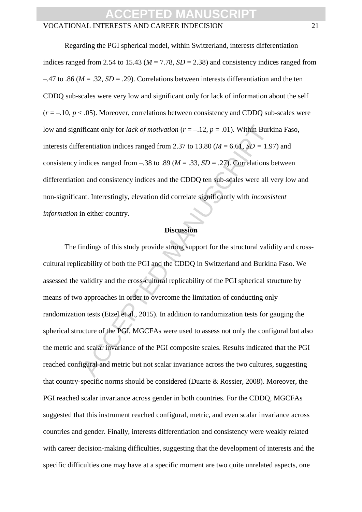#### VOCATIONAL INTERESTS AND CAREER INDECISION 21

Regarding the PGI spherical model, within Switzerland, interests differentiation indices ranged from 2.54 to 15.43 ( $M = 7.78$ ,  $SD = 2.38$ ) and consistency indices ranged from  $-47$  to .86 ( $M = .32$ ,  $SD = .29$ ). Correlations between interests differentiation and the ten CDDQ sub-scales were very low and significant only for lack of information about the self  $(r = -10, p < .05)$ . Moreover, correlations between consistency and CDDQ sub-scales were low and significant only for *lack of motivation* (*r* = –.12, *p* = .01). Within Burkina Faso, interests differentiation indices ranged from 2.37 to 13.80 ( $M = 6.61$ ,  $SD = 1.97$ ) and consistency indices ranged from  $-.38$  to  $.89$  ( $M = .33$ ,  $SD = .27$ ). Correlations between differentiation and consistency indices and the CDDQ ten sub-scales were all very low and non-significant. Interestingly, elevation did correlate significantly with *inconsistent information* in either country.

#### **Discussion**

ificant only for *lack of motivation*  $(r = -12, p = .01)$ . Within Burk<br>remtiation indices ranged from 2.37 to 13.80 ( $M = 6.61$ ,  $SD = 1.9$ <br>andices ranged from  $-38$  to .89 ( $M = .33$ ,  $SD = .27$ ). Correlations to<br>n and consistency in The findings of this study provide strong support for the structural validity and crosscultural replicability of both the PGI and the CDDQ in Switzerland and Burkina Faso. We assessed the validity and the cross-cultural replicability of the PGI spherical structure by means of two approaches in order to overcome the limitation of conducting only randomization tests (Etzel et al., 2015). In addition to randomization tests for gauging the spherical structure of the PGI, MGCFAs were used to assess not only the configural but also the metric and scalar invariance of the PGI composite scales. Results indicated that the PGI reached configural and metric but not scalar invariance across the two cultures, suggesting that country-specific norms should be considered (Duarte & Rossier, 2008). Moreover, the PGI reached scalar invariance across gender in both countries. For the CDDQ, MGCFAs suggested that this instrument reached configural, metric, and even scalar invariance across countries and gender. Finally, interests differentiation and consistency were weakly related with career decision-making difficulties, suggesting that the development of interests and the specific difficulties one may have at a specific moment are two quite unrelated aspects, one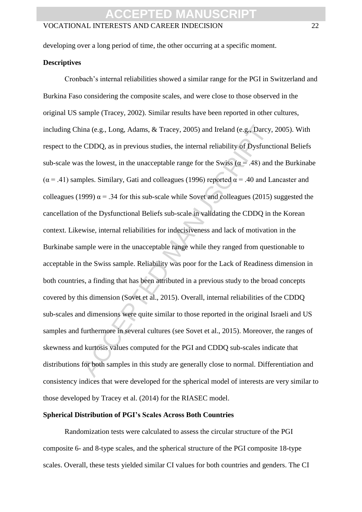### **CCEPT**

#### VOCATIONAL INTERESTS AND CAREER INDECISION 22

developing over a long period of time, the other occurring at a specific moment.

#### **Descriptives**

ina (e.g., Long, Adams, & Tracey, 2005) and Ireland (e.g., Darcy, eCDDQ, as in previous studies, the internal reliability of Dysfunct sthe lowest, in the unacceptable range for the Swiss ( $\alpha$  = .48) and ples. Similary, G Cronbach's internal reliabilities showed a similar range for the PGI in Switzerland and Burkina Faso considering the composite scales, and were close to those observed in the original US sample (Tracey, 2002). Similar results have been reported in other cultures, including China (e.g., Long, Adams, & Tracey, 2005) and Ireland (e.g., Darcy, 2005). With respect to the CDDQ, as in previous studies, the internal reliability of Dysfunctional Beliefs sub-scale was the lowest, in the unacceptable range for the Swiss ( $\alpha$  = .48) and the Burkinabe  $(\alpha = .41)$  samples. Similary, Gati and colleagues (1996) reported  $\alpha = .40$  and Lancaster and colleagues (1999)  $\alpha$  = .34 for this sub-scale while Sovet and colleagues (2015) suggested the cancellation of the Dysfunctional Beliefs sub-scale in validating the CDDQ in the Korean context. Likewise, internal reliabilities for indecisiveness and lack of motivation in the Burkinabe sample were in the unacceptable range while they ranged from questionable to acceptable in the Swiss sample. Reliability was poor for the Lack of Readiness dimension in both countries, a finding that has been attributed in a previous study to the broad concepts covered by this dimension (Sovet et al., 2015). Overall, internal reliabilities of the CDDQ sub-scales and dimensions were quite similar to those reported in the original Israeli and US samples and furthermore in several cultures (see Sovet et al., 2015). Moreover, the ranges of skewness and kurtosis values computed for the PGI and CDDQ sub-scales indicate that distributions for both samples in this study are generally close to normal. Differentiation and consistency indices that were developed for the spherical model of interests are very similar to those developed by Tracey et al. (2014) for the RIASEC model.

#### **Spherical Distribution of PGI's Scales Across Both Countries**

Randomization tests were calculated to assess the circular structure of the PGI composite 6- and 8-type scales, and the spherical structure of the PGI composite 18-type scales. Overall, these tests yielded similar CI values for both countries and genders. The CI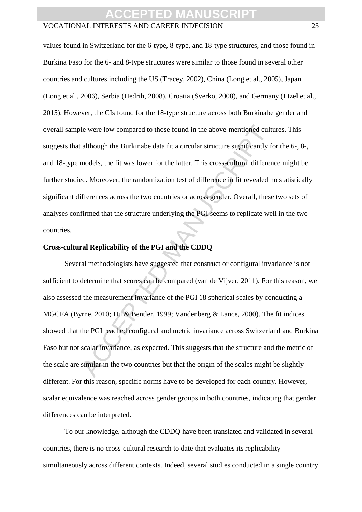#### VOCATIONAL INTERESTS AND CAREER INDECISION 23

values found in Switzerland for the 6-type, 8-type, and 18-type structures, and those found in Burkina Faso for the 6- and 8-type structures were similar to those found in several other countries and cultures including the US (Tracey, 2002), China (Long et al., 2005), Japan (Long et al., 2006), Serbia (Hedrih, 2008), Croatia (Šverko, 2008), and Germany (Etzel et al., 2015). However, the CIs found for the 18-type structure across both Burkinabe gender and overall sample were low compared to those found in the above-mentioned cultures. This suggests that although the Burkinabe data fit a circular structure significantly for the 6-, 8-, and 18-type models, the fit was lower for the latter. This cross-cultural difference might be further studied. Moreover, the randomization test of difference in fit revealed no statistically significant differences across the two countries or across gender. Overall, these two sets of analyses confirmed that the structure underlying the PGI seems to replicate well in the two countries.

#### **Cross-cultural Replicability of the PGI and the CDDQ**

le were low compared to those found in the above-mentioned cult<br>although the Burkinabe data fit a circular structure significantly fo<br>models, the fit was lower for the latter. This cross-cultural differen<br>ed. Moreover, the Several methodologists have suggested that construct or configural invariance is not sufficient to determine that scores can be compared (van de Vijver, 2011). For this reason, we also assessed the measurement invariance of the PGI 18 spherical scales by conducting a MGCFA (Byrne, 2010; Hu & Bentler, 1999; Vandenberg & Lance, 2000). The fit indices showed that the PGI reached configural and metric invariance across Switzerland and Burkina Faso but not scalar invariance, as expected. This suggests that the structure and the metric of the scale are similar in the two countries but that the origin of the scales might be slightly different. For this reason, specific norms have to be developed for each country. However, scalar equivalence was reached across gender groups in both countries, indicating that gender differences can be interpreted.

To our knowledge, although the CDDQ have been translated and validated in several countries, there is no cross-cultural research to date that evaluates its replicability simultaneously across different contexts. Indeed, several studies conducted in a single country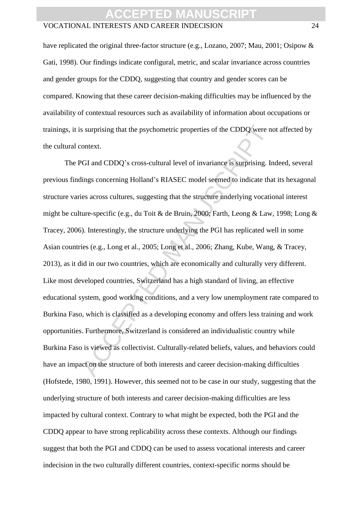#### VOCATIONAL INTERESTS AND CAREER INDECISION 24

have replicated the original three-factor structure (e.g., Lozano, 2007; Mau, 2001; Osipow & Gati, 1998). Our findings indicate configural, metric, and scalar invariance across countries and gender groups for the CDDQ, suggesting that country and gender scores can be compared. Knowing that these career decision-making difficulties may be influenced by the availability of contextual resources such as availability of information about occupations or trainings, it is surprising that the psychometric properties of the CDDQ were not affected by the cultural context.

s surprising that the psychometric properties of the CDDQ were no<br>notext.<br>YGI and CDDQ's cross-cultural level of invariance is surprising. In<br>lings concerning Holland's RIASEC model seemed to indicate tha<br>ies across cultur The PGI and CDDQ's cross-cultural level of invariance is surprising. Indeed, several previous findings concerning Holland's RIASEC model seemed to indicate that its hexagonal structure varies across cultures, suggesting that the structure underlying vocational interest might be culture-specific (e.g., du Toit & de Bruin, 2000; Farth, Leong & Law, 1998; Long & Tracey, 2006). Interestingly, the structure underlying the PGI has replicated well in some Asian countries (e.g., Long et al., 2005; Long et al., 2006; Zhang, Kube, Wang, & Tracey, 2013), as it did in our two countries, which are economically and culturally very different. Like most developed countries, Switzerland has a high standard of living, an effective educational system, good working conditions, and a very low unemployment rate compared to Burkina Faso, which is classified as a developing economy and offers less training and work opportunities. Furthermore, Switzerland is considered an individualistic country while Burkina Faso is viewed as collectivist. Culturally-related beliefs, values, and behaviors could have an impact on the structure of both interests and career decision-making difficulties (Hofstede, 1980, 1991). However, this seemed not to be case in our study, suggesting that the underlying structure of both interests and career decision-making difficulties are less impacted by cultural context. Contrary to what might be expected, both the PGI and the CDDQ appear to have strong replicability across these contexts. Although our findings suggest that both the PGI and CDDQ can be used to assess vocational interests and career indecision in the two culturally different countries, context-specific norms should be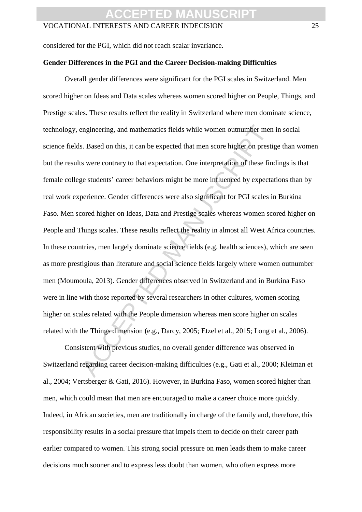considered for the PGI, which did not reach scalar invariance.

#### **Gender Differences in the PGI and the Career Decision-making Difficulties**

engineering, and mathematics fields while women outnumber men<br>s. Based on this, it can be expected that men score higher on presti<br>s were contrary to that expectation. One interpretation of these fin<br>ge students' career be Overall gender differences were significant for the PGI scales in Switzerland. Men scored higher on Ideas and Data scales whereas women scored higher on People, Things, and Prestige scales. These results reflect the reality in Switzerland where men dominate science, technology, engineering, and mathematics fields while women outnumber men in social science fields. Based on this, it can be expected that men score higher on prestige than women but the results were contrary to that expectation. One interpretation of these findings is that female college students' career behaviors might be more influenced by expectations than by real work experience. Gender differences were also significant for PGI scales in Burkina Faso. Men scored higher on Ideas, Data and Prestige scales whereas women scored higher on People and Things scales. These results reflect the reality in almost all West Africa countries. In these countries, men largely dominate science fields (e.g. health sciences), which are seen as more prestigious than literature and social science fields largely where women outnumber men (Moumoula, 2013). Gender differences observed in Switzerland and in Burkina Faso were in line with those reported by several researchers in other cultures, women scoring higher on scales related with the People dimension whereas men score higher on scales related with the Things dimension (e.g., Darcy, 2005; Etzel et al., 2015; Long et al., 2006).

Consistent with previous studies, no overall gender difference was observed in Switzerland regarding career decision-making difficulties (e.g., Gati et al., 2000; Kleiman et al., 2004; Vertsberger & Gati, 2016). However, in Burkina Faso, women scored higher than men, which could mean that men are encouraged to make a career choice more quickly. Indeed, in African societies, men are traditionally in charge of the family and, therefore, this responsibility results in a social pressure that impels them to decide on their career path earlier compared to women. This strong social pressure on men leads them to make career decisions much sooner and to express less doubt than women, who often express more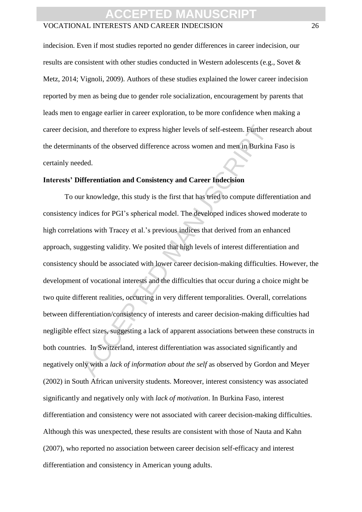#### VOCATIONAL INTERESTS AND CAREER INDECISION 26

indecision. Even if most studies reported no gender differences in career indecision, our results are consistent with other studies conducted in Western adolescents (e.g., Sovet & Metz, 2014; Vignoli, 2009). Authors of these studies explained the lower career indecision reported by men as being due to gender role socialization, encouragement by parents that leads men to engage earlier in career exploration, to be more confidence when making a career decision, and therefore to express higher levels of self-esteem. Further research about the determinants of the observed difference across women and men in Burkina Faso is certainly needed.

#### **Interests' Differentiation and Consistency and Career Indecision**

on, and therefore to express higher levels of self-esteem. Further reants of the observed difference across women and men in Burkina<br>ded.<br>**ifferentiation and Consistency and Career Indecision**<br>in knowledge, this study is t To our knowledge, this study is the first that has tried to compute differentiation and consistency indices for PGI's spherical model. The developed indices showed moderate to high correlations with Tracey et al.'s previous indices that derived from an enhanced approach, suggesting validity. We posited that high levels of interest differentiation and consistency should be associated with lower career decision-making difficulties. However, the development of vocational interests and the difficulties that occur during a choice might be two quite different realities, occurring in very different temporalities. Overall, correlations between differentiation/consistency of interests and career decision-making difficulties had negligible effect sizes, suggesting a lack of apparent associations between these constructs in both countries. In Switzerland, interest differentiation was associated significantly and negatively only with a *lack of information about the self* as observed by Gordon and Meyer (2002) in South African university students. Moreover, interest consistency was associated significantly and negatively only with *lack of motivation*. In Burkina Faso, interest differentiation and consistency were not associated with career decision-making difficulties. Although this was unexpected, these results are consistent with those of Nauta and Kahn (2007), who reported no association between career decision self-efficacy and interest differentiation and consistency in American young adults.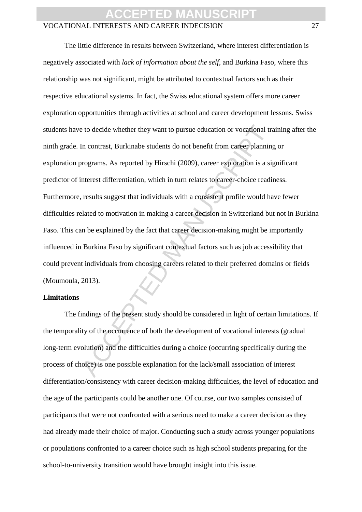#### VOCATIONAL INTERESTS AND CAREER INDECISION 27

to decide whether they want to pursue education or vocational tractation contrast, Burkinabe students do not benefit from career planning<br>the contrast, Burkinabe students do not benefit from career planning<br>rograms. As rep The little difference in results between Switzerland, where interest differentiation is negatively associated with *lack of information about the self*, and Burkina Faso, where this relationship was not significant, might be attributed to contextual factors such as their respective educational systems. In fact, the Swiss educational system offers more career exploration opportunities through activities at school and career development lessons. Swiss students have to decide whether they want to pursue education or vocational training after the ninth grade. In contrast, Burkinabe students do not benefit from career planning or exploration programs. As reported by Hirschi (2009), career exploration is a significant predictor of interest differentiation, which in turn relates to career-choice readiness. Furthermore, results suggest that individuals with a consistent profile would have fewer difficulties related to motivation in making a career decision in Switzerland but not in Burkina Faso. This can be explained by the fact that career decision-making might be importantly influenced in Burkina Faso by significant contextual factors such as job accessibility that could prevent individuals from choosing careers related to their preferred domains or fields (Moumoula, 2013).

#### **Limitations**

The findings of the present study should be considered in light of certain limitations. If the temporality of the occurrence of both the development of vocational interests (gradual long-term evolution) and the difficulties during a choice (occurring specifically during the process of choice) is one possible explanation for the lack/small association of interest differentiation/consistency with career decision-making difficulties, the level of education and the age of the participants could be another one. Of course, our two samples consisted of participants that were not confronted with a serious need to make a career decision as they had already made their choice of major. Conducting such a study across younger populations or populations confronted to a career choice such as high school students preparing for the school-to-university transition would have brought insight into this issue.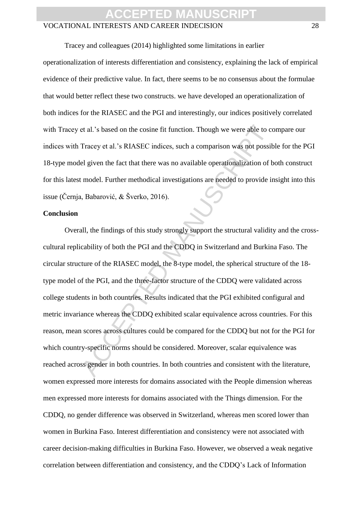#### VOCATIONAL INTERESTS AND CAREER INDECISION 28

Tracey and colleagues (2014) highlighted some limitations in earlier operationalization of interests differentiation and consistency, explaining the lack of empirical evidence of their predictive value. In fact, there seems to be no consensus about the formulae that would better reflect these two constructs. we have developed an operationalization of both indices for the RIASEC and the PGI and interestingly, our indices positively correlated with Tracey et al.'s based on the cosine fit function. Though we were able to compare our indices with Tracey et al.'s RIASEC indices, such a comparison was not possible for the PGI 18-type model given the fact that there was no available operationalization of both construct for this latest model. Further methodical investigations are needed to provide insight into this issue (Černja, Babarović, & Šverko, 2016).

#### **Conclusion**

et al.'s based on the cosine fit function. Though we were able to contractly of the cosine fit function. Though we were able to correct that there was no available operationalization of b model. Further methodical investig Overall, the findings of this study strongly support the structural validity and the crosscultural replicability of both the PGI and the CDDQ in Switzerland and Burkina Faso. The circular structure of the RIASEC model, the 8-type model, the spherical structure of the 18 type model of the PGI, and the three-factor structure of the CDDQ were validated across college students in both countries. Results indicated that the PGI exhibited configural and metric invariance whereas the CDDQ exhibited scalar equivalence across countries. For this reason, mean scores across cultures could be compared for the CDDQ but not for the PGI for which country-specific norms should be considered. Moreover, scalar equivalence was reached across gender in both countries. In both countries and consistent with the literature, women expressed more interests for domains associated with the People dimension whereas men expressed more interests for domains associated with the Things dimension. For the CDDQ, no gender difference was observed in Switzerland, whereas men scored lower than women in Burkina Faso. Interest differentiation and consistency were not associated with career decision-making difficulties in Burkina Faso. However, we observed a weak negative correlation between differentiation and consistency, and the CDDQ's Lack of Information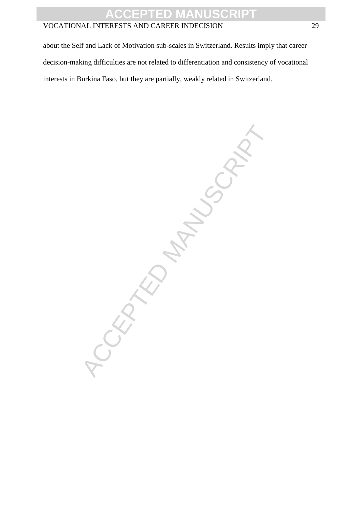### VOCATIONAL INTERESTS AND CAREER INDECISION 29

about the Self and Lack of Motivation sub-scales in Switzerland. Results imply that career decision-making difficulties are not related to differentiation and consistency of vocational interests in Burkina Faso, but they are partially, weakly related in Switzerland.

-CEPTED MANUSCRIPT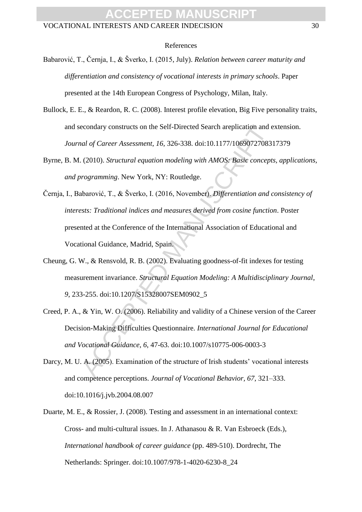#### References

- Babarović, T., Černja, I., & Šverko, I. (2015, July). *Relation between career maturity and differentiation and consistency of vocational interests in primary schools*. Paper presented at the 14th European Congress of Psychology, Milan, Italy.
- Bullock, E. E., & Reardon, R. C. (2008). Interest profile elevation, Big Five personality traits, and secondary constructs on the Self-Directed Search areplication and extension. *Journal of Career Assessment*, *16*, 326-338. doi:10.1177/1069072708317379
- Byrne, B. M. (2010). *Structural equation modeling with AMOS: Basic concepts, applications, and programming*. New York, NY: Routledge.
- econdary constructs on the Self-Directed Search areplication and etal of Career Assessment, 16, 326-338. doi:10.1177/10690727083<br>
(2010). *Structural equation modeling with AMOS: Basic concept*<br>
rogramming. New York, NY: R Černja, I., Babarović, T., & Šverko, I. (2016, November). *Differentiation and consistency of interests: Traditional indices and measures derived from cosine function*. Poster presented at the Conference of the International Association of Educational and Vocational Guidance, Madrid, Spain.
- Cheung, G. W., & Rensvold, R. B. (2002). Evaluating goodness-of-fit indexes for testing measurement invariance. *Structural Equation Modeling: A Multidisciplinary Journal*, *9*, 233-255. doi:10.1207/S15328007SEM0902\_5
- Creed, P. A., & Yin, W. O. (2006). Reliability and validity of a Chinese version of the Career Decision-Making Difficulties Questionnaire. *International Journal for Educational and Vocational Guidance*, *6*, 47-63. doi:10.1007/s10775-006-0003-3
- Darcy, M. U. A. (2005). Examination of the structure of Irish students' vocational interests and competence perceptions. *Journal of Vocational Behavior, 67*, 321–333. doi:10.1016/j.jvb.2004.08.007
- Duarte, M. E., & Rossier, J. (2008). Testing and assessment in an international context: Cross- and multi-cultural issues. In J. Athanasou & R. Van Esbroeck (Eds.), *International handbook of career guidance* (pp. 489-510). Dordrecht, The Netherlands: Springer. doi:10.1007/978-1-4020-6230-8\_24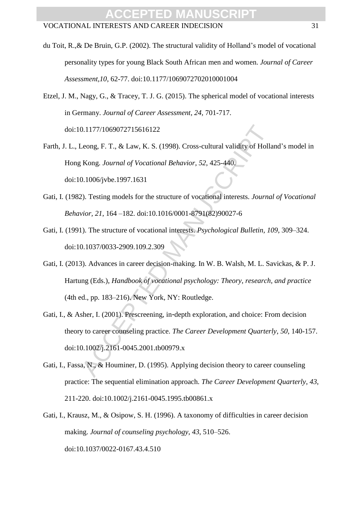- du Toit, R.,& De Bruin, G.P. (2002). The structural validity of Holland's model of vocational personality types for young Black South African men and women. *Journal of Career Assessment,10*, 62-77. doi:10.1177/1069072702010001004
- Etzel, J. M., Nagy, G., & Tracey, T. J. G. (2015). The spherical model of vocational interests in Germany. *Journal of Career Assessment*, *24*, 701-717. doi:10.1177/1069072715616122
- Farth, J. L., Leong, F. T., & Law, K. S. (1998). Cross-cultural validity of Holland's model in Hong Kong. *Journal of Vocational Behavior*, *52*, 425-440. doi:10.1006/jvbe.1997.1631
- Gati, I. (1982). Testing models for the structure of vocational interests. *Journal of Vocational Behavior, 21*, 164 –182. doi:10.1016/0001-8791(82)90027-6
- Gati, I. (1991). The structure of vocational interests. *Psychological Bulletin, 109*, 309–324. doi:10.1037/0033-2909.109.2.309
- 0.1177/1069072715616122<br>
Leong, F. T., & Law, K. S. (1998). Cross-cultural validity of Holla<br>
Kong. Journal of Vocational Behavior, 52, 425-440.<br>
0.1006/jvbe.1997.1631<br>
2). Testing models for the structure of vocational in Gati, I. (2013). Advances in career decision-making. In W. B. Walsh, M. L. Savickas, & P. J. Hartung (Eds.), *Handbook of vocational psychology: Theory, research, and practice* (4th ed., pp. 183–216). New York, NY: Routledge.
- Gati, I., & Asher, I. (2001). Prescreening, in-depth exploration, and choice: From decision theory to career counseling practice. *The Career Development Quarterly*, *50*, 140-157. doi:10.1002/j.2161-0045.2001.tb00979.x
- Gati, I., Fassa, N., & Houminer, D. (1995). Applying decision theory to career counseling practice: The sequential elimination approach. *The Career Development Quarterly*, *43*, 211-220. doi:10.1002/j.2161-0045.1995.tb00861.x
- Gati, I., Krausz, M., & Osipow, S. H. (1996). A taxonomy of difficulties in career decision making. *Journal of counseling psychology*, *43*, 510–526. doi:10.1037/0022-0167.43.4.510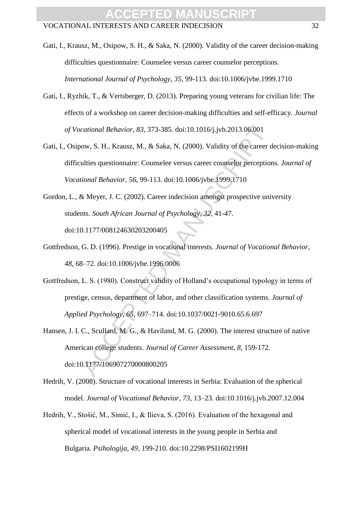Gati, I., Krausz, M., Osipow, S. H., & Saka, N. (2000). Validity of the career decision-making difficulties questionnaire: Counselee versus career counselor perceptions. *International Journal of Psychology, 35*, 99-113. doi:10.1006/jvbe.1999.1710

- Gati, I., Ryzhik, T., & Vertsberger, D. (2013). Preparing young veterans for civilian life: The effects of a workshop on career decision-making difficulties and self-efficacy. *Journal of Vocational Behavior*, *83*, 373-385. doi:10.1016/j.jvb.2013.06.001
- cational Behavior, 83, 373-385. doi:10.1016/j.jvb.2013.06.001<br>ow, S. H., Krausz, M., & Saka, N. (2000). Validity of the career d<br>ulties questionnaire: Counselee versus career counselor perception<br>tional Behavior, 56, 99-11 Gati, I., Osipow, S. H., Krausz, M., & Saka, N. (2000). Validity of the career decision-making difficulties questionnaire: Counselee versus career counselor perceptions. *Journal of Vocational Behavior*, *56*, 99-113. doi:10.1006/jvbe.1999.1710
- Gordon, L., & Meyer, J. C. (2002). Career indecision amongst prospective university students. *South African Journal of Psychology*, *32*, 41-47. doi:10.1177/008124630203200405
- Gottfredson, G. D. (1996). Prestige in vocational interests. *Journal of Vocational Behavior*, *48*, 68–72. doi:10.1006/jvbe.1996.0006
- Gottfredson, L. S. (1980). Construct validity of Holland's occupational typology in terms of prestige, census, department of labor, and other classification systems. *Journal of Applied Psychology*, *65*, 697–714. doi:10.1037/0021-9010.65.6.697
- Hansen, J. I. C., Scullard, M. G., & Haviland, M. G. (2000). The interest structure of native American college students. *Journal of Career Assessment*, *8*, 159-172. doi:10.1177/106907270000800205
- Hedrih, V. (2008). Structure of vocational interests in Serbia: Evaluation of the spherical model. *Journal of Vocational Behavior, 73*, 13–23. doi:10.1016/j.jvb.2007.12.004
- Hedrih, V., Stošić, M., Simić, I., & Ilieva, S. (2016). Evaluation of the hexagonal and spherical model of vocational interests in the young people in Serbia and Bulgaria. *Psihologija*, *49*, 199-210. doi:10.2298/PSI1602199H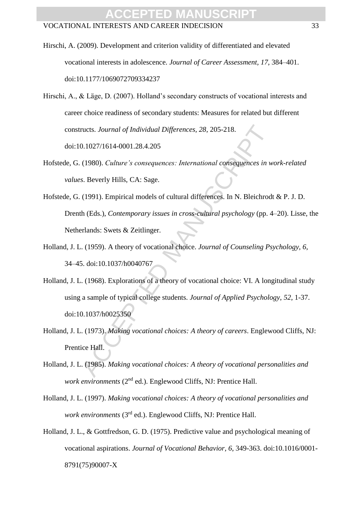- Hirschi, A. (2009). Development and criterion validity of differentiated and elevated vocational interests in adolescence. *Journal of Career Assessment, 17*, 384–401. doi:10.1177/1069072709334237
- Hirschi, A., & Läge, D. (2007). Holland's secondary constructs of vocational interests and career choice readiness of secondary students: Measures for related but different constructs. *Journal of Individual Differences, 28*, 205-218. doi:10.1027/1614-0001.28.4.205
- Hofstede, G. (1980). *Culture's consequences: International consequences in work-related values*. Beverly Hills, CA: Sage.
- ructs. Journal of Individual Differences, 28, 205-218.<br>
0.1027/1614-0001.28.4.205<br>
(1980). *Culture's consequences: International consequences in w*<br>
s. Beverly Hills, CA: Sage.<br>
(1991). Empirical models of cultural differ Hofstede, G. (1991). Empirical models of cultural differences. In N. Bleichrodt & P. J. D. Drenth (Eds.), *Contemporary issues in cross-cultural psychology* (pp. 4–20). Lisse, the Netherlands: Swets & Zeitlinger.
- Holland, J. L. (1959). A theory of vocational choice. *Journal of Counseling Psychology, 6*, 34–45. doi:10.1037/h0040767
- Holland, J. L. (1968). Explorations of a theory of vocational choice: VI. A longitudinal study using a sample of typical college students. *Journal of Applied Psychology*, *52*, 1-37. doi:10.1037/h0025350
- Holland, J. L. (1973). *Making vocational choices: A theory of careers*. Englewood Cliffs, NJ: Prentice Hall.
- Holland, J. L. (1985). *Making vocational choices: A theory of vocational personalities and work environments* (2<sup>nd</sup> ed.). Englewood Cliffs, NJ: Prentice Hall.
- Holland, J. L. (1997). *Making vocational choices: A theory of vocational personalities and work environments* (3rd ed.). Englewood Cliffs, NJ: Prentice Hall.
- Holland, J. L., & Gottfredson, G. D. (1975). Predictive value and psychological meaning of vocational aspirations. *Journal of Vocational Behavior, 6*, 349-363. doi:10.1016/0001- 8791(75)90007-X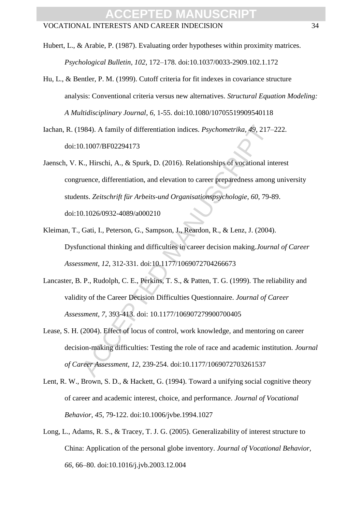Hubert, L., & Arabie, P. (1987). Evaluating order hypotheses within proximity matrices. *Psychological Bulletin, 102*, 172–178. doi:10.1037/0033-2909.102.1.172

- Hu, L., & Bentler, P. M. (1999). Cutoff criteria for fit indexes in covariance structure analysis: Conventional criteria versus new alternatives. *Structural Equation Modeling: A Multidisciplinary Journal*, *6*, 1-55. doi:10.1080/10705519909540118
- Iachan, R. (1984). A family of differentiation indices. *Psychometrika, 49*, 217–222. doi:10.1007/BF02294173
- 984). A family of differentiation indices. *Psychometrika*, 49, 217–0.1007/BF02294173<br>
2., Hirschi, A., & Spurk, D. (2016). Relationships of vocational in<br>
uence, differentiation, and elevation to career preparedness among Jaensch, V. K., Hirschi, A., & Spurk, D. (2016). Relationships of vocational interest congruence, differentiation, and elevation to career preparedness among university students. *Zeitschrift für Arbeits-und Organisationspsychologie*, *60*, 79-89. doi:10.1026/0932-4089/a000210
- Kleiman, T., Gati, I., Peterson, G., Sampson, J., Reardon, R., & Lenz, J. (2004). Dysfunctional thinking and difficulties in career decision making.*Journal of Career Assessment*, *12*, 312-331. doi:10.1177/1069072704266673
- Lancaster, B. P., Rudolph, C. E., Perkins, T. S., & Patten, T. G. (1999). The reliability and validity of the Career Decision Difficulties Questionnaire. *Journal of Career Assessment*, *7*, 393-413. doi: 10.1177/106907279900700405
- Lease, S. H. (2004). Effect of locus of control, work knowledge, and mentoring on career decision-making difficulties: Testing the role of race and academic institution. *Journal of Career Assessment*, *12*, 239-254. doi:10.1177/1069072703261537
- Lent, R. W., Brown, S. D., & Hackett, G. (1994). Toward a unifying social cognitive theory of career and academic interest, choice, and performance. *Journal of Vocational Behavior*, *45*, 79-122. doi:10.1006/jvbe.1994.1027
- Long, L., Adams, R. S., & Tracey, T. J. G. (2005). Generalizability of interest structure to China: Application of the personal globe inventory. *Journal of Vocational Behavior, 66*, 66–80. doi:10.1016/j.jvb.2003.12.004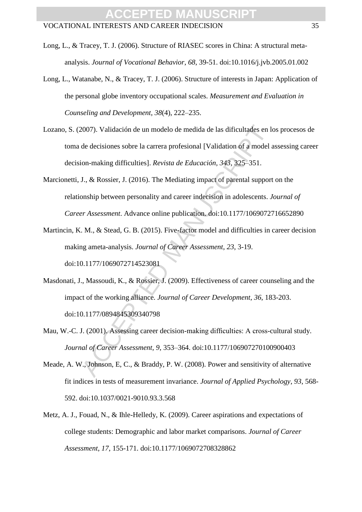- Long, L., & Tracey, T. J. (2006). Structure of RIASEC scores in China: A structural metaanalysis. *Journal of Vocational Behavior*, *68*, 39-51. doi:10.1016/j.jvb.2005.01.002
- Long, L., Watanabe, N., & Tracey, T. J. (2006). Structure of interests in Japan: Application of the personal globe inventory occupational scales. *Measurement and Evaluation in Counseling and Development*, *38*(4), 222–235.
- 2007). Validación de un modelo de medida de las dificultades en les de decisiones sobre la carrera profesional [Validation of a model a dificultades en les defined manuscriptical (Validation of a model a dificultas). *Revi* Lozano, S. (2007). Validación de un modelo de medida de las dificultades en los procesos de toma de decisiones sobre la carrera profesional [Validation of a model assessing career decision-making difficulties]. *Revista de Educación, 343*, 325–351.
- Marcionetti, J., & Rossier, J. (2016). The Mediating impact of parental support on the relationship between personality and career indecision in adolescents. *Journal of Career Assessment*. Advance online publication. doi:10.1177/1069072716652890
- Martincin, K. M., & Stead, G. B. (2015). Five-factor model and difficulties in career decision making ameta-analysis. *Journal of Career Assessment*, *23*, 3-19. doi:10.1177/1069072714523081
- Masdonati, J., Massoudi, K., & Rossier, J. (2009). Effectiveness of career counseling and the impact of the working alliance. *Journal of Career Development*, *36*, 183-203. doi:10.1177/0894845309340798
- Mau, W.-C. J. (2001). Assessing career decision-making difficulties: A cross-cultural study. *Journal of Career Assessment, 9*, 353–364. doi:10.1177/106907270100900403
- Meade, A. W., Johnson, E, C., & Braddy, P. W. (2008). Power and sensitivity of alternative fit indices in tests of measurement invariance. *Journal of Applied Psychology*, *93*, 568- 592. doi:10.1037/0021-9010.93.3.568
- Metz, A. J., Fouad, N., & Ihle-Helledy, K. (2009). Career aspirations and expectations of college students: Demographic and labor market comparisons. *Journal of Career Assessment*, *17*, 155-171. doi:10.1177/1069072708328862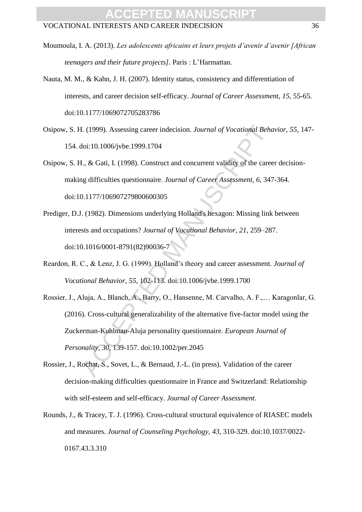- Moumoula, I. A. (2013). *Les adolescents africains et leurs projets d'avenir d'avenir [African teenagers and their future projects].* Paris : L'Harmattan.
- Nauta, M. M., & Kahn, J. H. (2007). Identity status, consistency and differentiation of interests, and career decision self-efficacy. *Journal of Career Assessment*, *15*, 55-65. doi:10.1177/1069072705283786
- Osipow, S. H. (1999). Assessing career indecision. *Journal of Vocational Behavior*, *55*, 147- 154. doi:10.1006/jvbe.1999.1704
- Osipow, S. H., & Gati, I. (1998). Construct and concurrent validity of the career decisionmaking difficulties questionnaire. *Journal of Career Assessment*, *6*, 347-364. doi:10.1177/106907279800600305
- Prediger, D.J. (1982). Dimensions underlying Holland's hexagon: Missing link between interests and occupations? *Journal of Vocational Behavior, 21*, 259–287. doi:10.1016/0001-8791(82)90036-7
- Reardon, R. C., & Lenz, J. G. (1999). Holland's theory and career assessment. *Journal of Vocational Behavior*, *55*, 102-113. doi:10.1006/jvbe.1999.1700
- I. (1999). Assessing career indecision. *Journal of Vocational Beha*<br>doi:10.1006/jvbe.1999.1704<br>d., & Gati, I. (1998). Construct and concurrent validity of the caree<br>and ifficulties questionnaire. *Journal of Career Assess* Rossier, J., Aluja, A., Blanch, A., Barry, O., Hansenne, M. Carvalho, A. F.,… Karagonlar, G. (2016). Cross-cultural generalizability of the alternative five-factor model using the Zuckerman-Kuhlman-Aluja personality questionnaire. *European Journal of Personality*, *30*, 139-157. doi:10.1002/per.2045
- Rossier, J., Rochat, S., Sovet, L., & Bernaud, J.-L. (in press). Validation of the career decision-making difficulties questionnaire in France and Switzerland: Relationship with self-esteem and self-efficacy. *Journal of Career Assessment*.
- Rounds, J., & Tracey, T. J. (1996). Cross-cultural structural equivalence of RIASEC models and measures. *Journal of Counseling Psychology*, *43*, 310-329. doi:10.1037/0022- 0167.43.3.310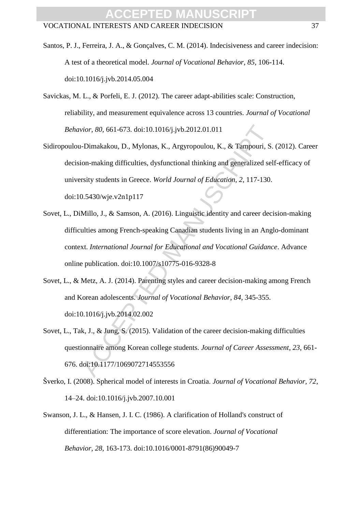- Santos, P. J., Ferreira, J. A., & Gonçalves, C. M. (2014). Indecisiveness and career indecision: A test of a theoretical model. *Journal of Vocational Behavior*, *85*, 106-114. doi:10.1016/j.jvb.2014.05.004
- Savickas, M. L., & Porfeli, E. J. (2012). The career adapt-abilities scale: Construction, reliability, and measurement equivalence across 13 countries. *Journal of Vocational Behavior*, *80*, 661-673. doi:10.1016/j.jvb.2012.01.011
- vior, 80, 661-673. doi:10.1016/j.jvb.2012.01.011<br>
1-Dimakakou, D., Mylonas, K., Argyropoulou, K., & Tampouri, S.<br>
10.101.4 (D., Mylonas, K., Argyropoulou, K., & Tampouri, S.<br>
10.5430/wje.v2n1p117<br>
10.5430/wje.v2n1p117<br>
10. Sidiropoulou-Dimakakou, D., Mylonas, K., Argyropoulou, K., & Tampouri, S. (2012). Career decision-making difficulties, dysfunctional thinking and generalized self-efficacy of university students in Greece. *World Journal of Education*, *2*, 117-130. doi:10.5430/wje.v2n1p117
- Sovet, L., DiMillo, J., & Samson, A. (2016). Linguistic identity and career decision-making difficulties among French-speaking Canadian students living in an Anglo-dominant context. *International Journal for Educational and Vocational Guidance*. Advance online publication. doi:10.1007/s10775-016-9328-8
- Sovet, L., & Metz, A. J. (2014). Parenting styles and career decision-making among French and Korean adolescents. *Journal of Vocational Behavior*, *84*, 345-355. doi:10.1016/j.jvb.2014.02.002
- Sovet, L., Tak, J., & Jung, S. (2015). Validation of the career decision-making difficulties questionnaire among Korean college students. *Journal of Career Assessment*, *23*, 661- 676. doi:10.1177/1069072714553556
- Šverko, I. (2008). Spherical model of interests in Croatia. *Journal of Vocational Behavior, 72*, 14–24. doi:10.1016/j.jvb.2007.10.001
- Swanson, J. L., & Hansen, J. I. C. (1986). A clarification of Holland's construct of differentiation: The importance of score elevation. *Journal of Vocational Behavior*, *28*, 163-173. doi:10.1016/0001-8791(86)90049-7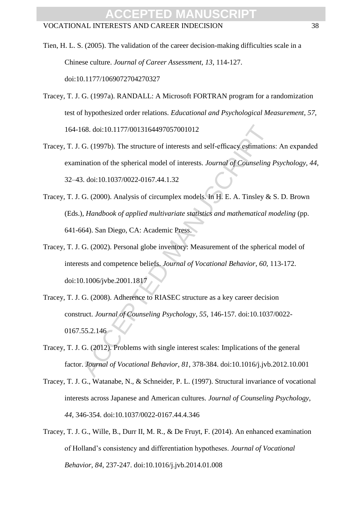- Tien, H. L. S. (2005). The validation of the career decision-making difficulties scale in a Chinese culture. *Journal of Career Assessment, 13*, 114-127. doi:10.1177/1069072704270327
- Tracey, T. J. G. (1997a). RANDALL: A Microsoft FORTRAN program for a randomization test of hypothesized order relations. *Educational and Psychological Measurement*, *57*, 164-168. doi:10.1177/0013164497057001012
- Tracey, T. J. G. (1997b). The structure of interests and self-efficacy estimations: An expanded examination of the spherical model of interests. *Journal of Counseling Psychology, 44*, 32–43. doi:10.1037/0022-0167.44.1.32
- Tracey, T. J. G. (2000). Analysis of circumplex models. In H. E. A. Tinsley & S. D. Brown (Eds.), *Handbook of applied multivariate statistics and mathematical modeling* (pp. 641-664). San Diego, CA: Academic Press.
- Tracey, T. J. G. (2002). Personal globe inventory: Measurement of the spherical model of interests and competence beliefs. *Journal of Vocational Behavior*, *60*, 113-172. doi:10.1006/jvbe.2001.1817
- 68. doi:10.1177/0013164497057001012<br>
G. (1997b). The structure of interests and self-efficacy estimations<br>
ination of the spherical model of interests. *Journal of Counseling*<br>
3. doi:10.1037/0022-0167.44.1.32<br>
G. (2000). Tracey, T. J. G. (2008). Adherence to RIASEC structure as a key career decision construct. *Journal of Counseling Psychology*, *55*, 146-157. doi:10.1037/0022- 0167.55.2.146
- Tracey, T. J. G. (2012). Problems with single interest scales: Implications of the general factor. *Journal of Vocational Behavior*, *81*, 378-384. doi:10.1016/j.jvb.2012.10.001
- Tracey, T. J. G., Watanabe, N., & Schneider, P. L. (1997). Structural invariance of vocational interests across Japanese and American cultures. *Journal of Counseling Psychology, 44*, 346-354. doi:10.1037/0022-0167.44.4.346
- Tracey, T. J. G., Wille, B., Durr II, M. R., & De Fruyt, F. (2014). An enhanced examination of Holland's consistency and differentiation hypotheses. *Journal of Vocational Behavior*, *84*, 237-247. doi:10.1016/j.jvb.2014.01.008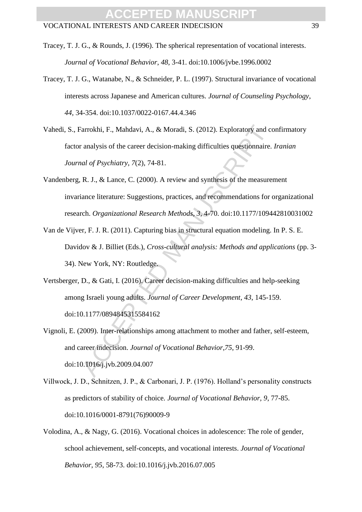- Tracey, T. J. G., Watanabe, N., & Schneider, P. L. (1997). Structural invariance of vocational interests across Japanese and American cultures. *Journal of Counseling Psychology*, *44*, 34-354. doi:10.1037/0022-0167.44.4.346
- Vahedi, S., Farrokhi, F., Mahdavi, A., & Moradi, S. (2012). Exploratory and confirmatory factor analysis of the career decision-making difficulties questionnaire. *Iranian Journal of Psychiatry*, *7*(2), 74-81.
- Vandenberg, R. J., & Lance, C. (2000). A review and synthesis of the measurement invariance literature: Suggestions, practices, and recommendations for organizational research. *Organizational Research Methods, 3*, 4-70. doi:10.1177/109442810031002
- Van de Vijver, F. J. R. (2011). Capturing bias in structural equation modeling. In P. S. E. Davidov & J. Billiet (Eds.), *Cross-cultural analysis: Methods and applications* (pp. 3- 34). New York, NY: Routledge.
- Vertsberger, D., & Gati, I. (2016). Career decision-making difficulties and help-seeking among Israeli young adults. *Journal of Career Development*, *43*, 145-159. doi:10.1177/0894845315584162
- Farrokhi, F., Mahdavi, A., & Moradi, S. (2012). Exploratory and comalysis of the career decision-making difficulties questionnaire.<br> *ad of Psychiatry*, 7(2), 74-81.<br> **R. J., & Lance, C. (2000).** A review and synthesis of Vignoli, E. (2009). Inter-relationships among attachment to mother and father, self-esteem, and career indecision. *Journal of Vocational Behavior*,*75*, 91-99. doi:10.1016/j.jvb.2009.04.007
- Villwock, J. D., Schnitzen, J. P., & Carbonari, J. P. (1976). Holland's personality constructs as predictors of stability of choice. *Journal of Vocational Behavior, 9*, 77-85. doi:10.1016/0001-8791(76)90009-9
- Volodina, A., & Nagy, G. (2016). Vocational choices in adolescence: The role of gender, school achievement, self-concepts, and vocational interests. *Journal of Vocational Behavior*, *95*, 58-73. doi:10.1016/j.jvb.2016.07.005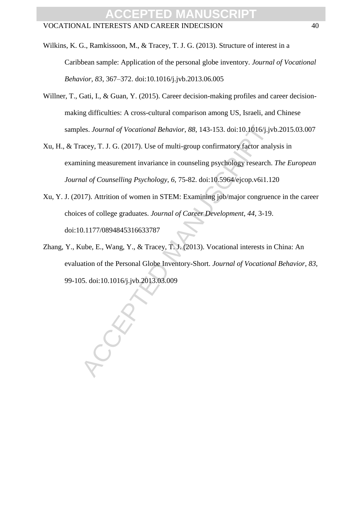Wilkins, K. G., Ramkissoon, M., & Tracey, T. J. G. (2013). Structure of interest in a Caribbean sample: Application of the personal globe inventory. *Journal of Vocational Behavior, 83*, 367–372. doi:10.1016/j.jvb.2013.06.005

- Willner, T., Gati, I., & Guan, Y. (2015). Career decision-making profiles and career decisionmaking difficulties: A cross-cultural comparison among US, Israeli, and Chinese samples. *Journal of Vocational Behavior*, *88*, 143-153. doi:10.1016/j.jvb.2015.03.007
- les. Journal of Vocational Behavior, 88, 143-153. doi:10.1016/j.jv<br>accey, T. J. G. (2017). Use of multi-group confirmatory factor anal<br>ining measurement invariance in counseling psychology research.<br>all of Counselling Psyc Xu, H., & Tracey, T. J. G. (2017). Use of multi-group confirmatory factor analysis in examining measurement invariance in counseling psychology research. *The European Journal of Counselling Psychology*, *6,* 75-82. doi:10.5964/ejcop.v6i1.120
- Xu, Y. J. (2017). Attrition of women in STEM: Examining job/major congruence in the career choices of college graduates. *Journal of Career Development*, *44*, 3-19. doi:10.1177/0894845316633787
- Zhang, Y., Kube, E., Wang, Y., & Tracey, T. J. (2013). Vocational interests in China: An evaluation of the Personal Globe Inventory-Short. *Journal of Vocational Behavior*, *83*, 99-105. doi:10.1016/j.jvb.2013.03.009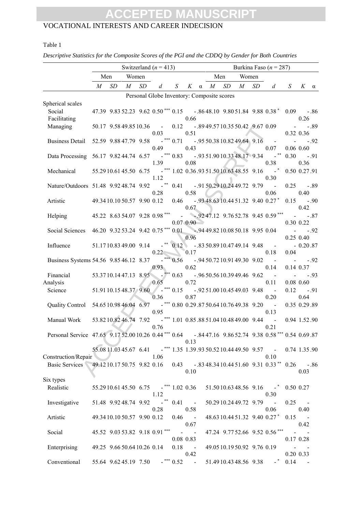### VOCATIONAL INTERESTS AND CAREER INDECISION

#### Table 1

|                                                                                                      | Switzerland ( $n = 413$ )<br>Burkina Faso ( $n = 287$ ) |    |                           |    |                                                                                   |                |                      |     |                                            |  |                                                                      |               |                                  |        |
|------------------------------------------------------------------------------------------------------|---------------------------------------------------------|----|---------------------------|----|-----------------------------------------------------------------------------------|----------------|----------------------|-----|--------------------------------------------|--|----------------------------------------------------------------------|---------------|----------------------------------|--------|
|                                                                                                      | Men                                                     |    | Women                     |    |                                                                                   |                |                      | Men | Women                                      |  |                                                                      |               |                                  |        |
|                                                                                                      | $M_{\odot}$                                             | SD | $M_{-}$                   | SD | d                                                                                 | S              | K                    |     | $\alpha$ <i>M SD M</i>                     |  | $SD$ d                                                               | $S_{\cdot}$   | $K \alpha$                       |        |
|                                                                                                      |                                                         |    |                           |    | Personal Globe Inventory: Composite scores                                        |                |                      |     |                                            |  |                                                                      |               |                                  |        |
| Spherical scales<br>Social                                                                           |                                                         |    |                           |    |                                                                                   |                | 0.66                 |     |                                            |  | 47.39 9.83 52.23 9.62 0.50*** 0.15 -.86 48.10 9.80 51.84 9.88 0.38 * | 0.09          | 0.26                             | $-.86$ |
| Facilitating<br>Managing                                                                             |                                                         |    |                           |    | 50.17 9.58 49.85 10.36 -<br>0.03                                                  | 0.12           | 0.51                 |     |                                            |  | $-0.8949.5710.3550.42$ 9.67 0.09                                     |               | $\sim 100$<br>0.32 0.36          | $-.89$ |
| Business Detail 52.59 9.88 47.79 9.58 <sup>-***</sup> 0.71 -.95 50.38 10.82 49.64 9.16 -             |                                                         |    |                           |    | 0.49                                                                              |                | 0.43                 |     |                                            |  | 0.07                                                                 |               | $-92$<br>$0.06$ 0.60             |        |
| Data Processing 56.17 9.8244.74 6.57 <sup>***</sup> 0.83 - 9.93 51.90 10.33 48.17 9.34               |                                                         |    |                           |    | 1.39                                                                              |                | 0.08                 |     |                                            |  | 0.38                                                                 | 0.30          | 0.36                             | $-.91$ |
| Mechanical                                                                                           |                                                         |    |                           |    | 55.29 10.61 45.50 6.75 *** 1.02 0.36.93 51.50 10.63 48.55 9.16 *<br>1.12          |                |                      |     |                                            |  | 0.30                                                                 | 0.50 0.27.91  |                                  |        |
| Nature/Outdoors 51.48 9.92 48.74 9.92 <sup>**</sup> 0.41 - 91 50.29 10.24 49.72 9.79                 |                                                         |    |                           |    | 0.28                                                                              |                | 0.58                 |     |                                            |  | 0.06                                                                 | $0.25 - 0.89$ | 0.40                             |        |
| Artistic                                                                                             |                                                         |    |                           |    | 49.34 10.10 50.57 9.90 0.12 0.46 - .93 48.63 10.44 51.32 9.40 0.27*               |                | 0.67                 |     |                                            |  |                                                                      | 0.15          | 0.42                             | $-.90$ |
| Helping                                                                                              |                                                         |    |                           |    |                                                                                   |                | $0.07 \, 0.90$       |     |                                            |  |                                                                      |               | 0.30 0.22                        | $-.87$ |
| Social Sciences 46.20 9.32 53.24 9.42 0.75*** 0.01 - 94 49.82 10.08 50.18 9.95 0.04                  |                                                         |    |                           |    |                                                                                   |                | 0.96                 |     |                                            |  |                                                                      |               | $- 92$<br>$0.25$ 0.40            |        |
| Influence                                                                                            | 51.1710.8349.00 9.14                                    |    |                           |    | 0.22                                                                              |                | 0.17                 |     | $-$ ** 0.12 - .83 50.89 10.47 49.14 9.48 - |  | 0.18                                                                 | 0.04          | $-0.20.87$                       |        |
| Business Systems 54.56 9.85 46.12 8.37 - *** 0.56 - 9.94 50.72 10.91 49.30 9.02                      |                                                         |    |                           |    | 0.93                                                                              |                | 0.62                 |     |                                            |  | $\sim$<br>0.14                                                       | $\sim$        | $0.14$ 0.37                      | $-.92$ |
| Financial<br>Analysis                                                                                |                                                         |    |                           |    | $53.3710.1447.13$ $8.95$ $-$ *** 0.63<br>0.65                                     |                | 0.72                 |     | $-0.9650.5610.3949.469.62$                 |  | $\sim$<br>0.11                                                       |               | $\Delta \sim 100$<br>$0.08$ 0.60 | $-.93$ |
| Science                                                                                              |                                                         |    |                           |    | 51.91 10.15 48.37 9.60 -*** 0.15 -.92 51.00 10.45 49.03 9.48<br>0.36              |                | 0.87                 |     |                                            |  | $\blacksquare$<br>0.20                                               | 0.12          | $-.91$<br>0.64                   |        |
|                                                                                                      |                                                         |    |                           |    | 0.95                                                                              |                |                      |     |                                            |  | $\sim$<br>0.13                                                       |               | 0.35 0.29.89                     |        |
| Manual Work                                                                                          | 53.8210.8246.74 7.92                                    |    |                           |    | $-$ *** 1.01 0.85.88 51.04 10.48 49.00 9.44<br>0.76                               |                |                      |     |                                            |  | $\sim$<br>0.21                                                       |               | 0.94 1.52.90                     |        |
| Personal Service 47.65 9.17 52.00 10.26 0.44*** 0.64 -.84 47.16 9.86 52.74 9.38 0.58*** 0.54 0.69.87 |                                                         |    |                           |    |                                                                                   |                | 0.13                 |     |                                            |  |                                                                      |               |                                  |        |
| Construction/Repair                                                                                  |                                                         |    |                           |    | 55.08 11.03 45.67 6.41 <sup>***</sup> 1.35 1.39 93 50.52 10.44 49.50 9.57<br>1.06 |                |                      |     |                                            |  | 0.10                                                                 | 0.74 1.35.90  |                                  |        |
| Basic Services                                                                                       | 49.12 10.17 50.75 9.82 0.16                             |    |                           |    |                                                                                   | 0.43           | 0.10                 |     |                                            |  | $-0.8348.3410.4451.60$ 9.31 0.33 <sup>**</sup> 0.26                  |               | 0.03                             | $-.86$ |
| Six types<br>Realistic                                                                               |                                                         |    |                           |    | 55.29 10.61 45.50 6.75 -*** 1.02 0.36<br>1.12                                     |                |                      |     |                                            |  | $51.5010.6348.569.16$ -<br>0.30                                      | 0.50 0.27     |                                  |        |
| Investigative                                                                                        |                                                         |    | 51.48 9.92 48.74 9.92     |    | $-$ **<br>0.28                                                                    | 0.41           | $\mathbf{u}$<br>0.58 |     | 50.2910.2449.72 9.79                       |  | 0.06                                                                 | 0.25          | 0.40                             |        |
| Artistic                                                                                             |                                                         |    | 49.3410.1050.57 9.90 0.12 |    |                                                                                   | 0.46           | $\sim 100$<br>0.67   |     |                                            |  | 48.63 10.44 51.32 9.40 0.27*                                         | 0.15          | 0.42                             |        |
| Social                                                                                               |                                                         |    |                           |    | 45.52 9.03 53.82 9.18 0.91***                                                     | $\blacksquare$ | 0.08 0.83            |     |                                            |  | 47.24 9.77 52.66 9.52 0.56***                                        |               | 0.17 0.28                        |        |
| Enterprising                                                                                         | 49.25 9.66 50.64 10.26 0.14                             |    |                           |    |                                                                                   | 0.18           | $\sim$ $-$<br>0.42   |     | 49.05 10.19 50.92 9.76 0.19                |  |                                                                      |               | 0.20 0.33                        |        |
| Conventional                                                                                         | 55.64 9.62 45.19 7.50                                   |    |                           |    |                                                                                   | $-$ *** 0.52   | $\sim$ $-$           |     | 51.4910.4348.56 9.38                       |  |                                                                      | 0.14          |                                  |        |

*Descriptive Statistics for the Composite Scores of the PGI and the CDDQ by Gender for Both Countries*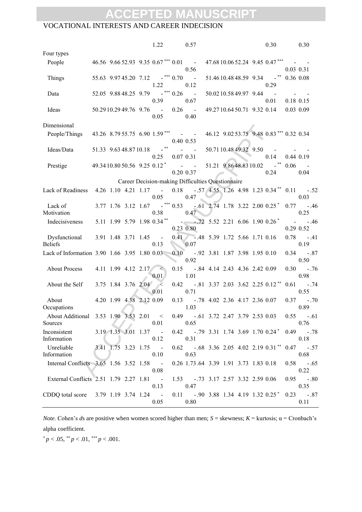#### VOCATIONAL INTERESTS AND CAREER INDECISION

|                                                   |                          |                               | 1.22                                           |              | 0.57                                    |                                                    |                           |  | 0.30                                    |             | 0.30                                                       |
|---------------------------------------------------|--------------------------|-------------------------------|------------------------------------------------|--------------|-----------------------------------------|----------------------------------------------------|---------------------------|--|-----------------------------------------|-------------|------------------------------------------------------------|
| Four types                                        |                          |                               |                                                |              |                                         |                                                    |                           |  |                                         |             |                                                            |
| People                                            |                          |                               | 46.56 9.66 52.93 9.35 0.67 <sup>***</sup> 0.01 |              | $\sim$<br>0.56                          |                                                    |                           |  | 47.6810.0652.24 9.45 0.47***            | $0.03$ 0.31 |                                                            |
| Things                                            | 55.63 9.9745.20 7.12     |                               | 1.22                                           | $-$ *** 0.70 | $\sim$ $-$<br>0.12                      |                                                    | 51.4610.4848.59 9.34      |  | 0.29                                    | 0.36 0.08   |                                                            |
| Data                                              | 52.05 9.88 48.25 9.79    |                               | 0.39                                           | -*** 0.26    | $\sim$<br>0.67                          |                                                    | 50.0210.5849.97 9.44      |  | $\blacksquare$<br>0.01                  | 0.18 0.15   |                                                            |
| Ideas                                             | 50.29 10.29 49.76 9.76 - |                               | 0.05                                           |              | $0.26 -$<br>0.40                        |                                                    | 49.2710.6450.71 9.32 0.14 |  |                                         | $0.03$ 0.09 |                                                            |
| Dimensional                                       |                          |                               |                                                |              |                                         |                                                    |                           |  |                                         |             |                                                            |
| People/Things                                     |                          |                               | 43.26 8.79 55.75 6.90 1.59***                  |              | $\sim 100$ km s $^{-1}$<br>$0.40\;0.53$ |                                                    |                           |  | 46.12 9.02 53.75 9.48 0.83*** 0.32 0.34 |             |                                                            |
| Ideas/Data                                        | 51.33 9.63 48.87 10.18   |                               | 0.25                                           |              | 0.07 0.31                               |                                                    | 50.7110.4849.32 9.50      |  | 0.14                                    | $0.44$ 0.19 |                                                            |
| Prestige                                          |                          |                               | 49.3410.8050.56 9.25 0.12*                     |              | <b>Contract Contract</b>                |                                                    | 51.21 9.86 48.83 10.02    |  |                                         | 0.06        |                                                            |
|                                                   |                          |                               |                                                |              | 0.20 0.37                               |                                                    |                           |  | 0.24                                    |             | 0.04                                                       |
|                                                   |                          |                               |                                                |              |                                         | Career Decision-making Difficulties Questionnaire  |                           |  |                                         |             |                                                            |
| Lack of Readiness                                 |                          |                               | $4.26$ 1.10 $4.21$ 1.17 -<br>0.05              |              | 0.47                                    |                                                    |                           |  |                                         |             | $0.18$ - .57 4.55 1.26 4.98 1.23 0.34** 0.11 - .52<br>0.03 |
| Lack of<br>Motivation                             |                          | 3.77 1.76 3.12 1.67           | 0.38                                           | $-$ *** 0.53 | 0.47                                    | $-0.61$ 2.74 1.78 3.22 2.00 0.25 <sup>*</sup>      |                           |  |                                         | 0.77        | $-.46$<br>0.25                                             |
| Indecisiveness                                    |                          |                               | 5.11 1.99 5.79 1.98 0.34**                     |              | $0.23$ 0.80                             | $-272$ 5.52 2.21 6.06 1.90 0.26 <sup>*</sup>       |                           |  |                                         |             | $\mathcal{L}^{\text{max}}$<br>$-.46$<br>0.29 0.52          |
| Dysfunctional<br><b>Beliefs</b>                   |                          | 3.91 1.48 3.71 1.45           | $\sim$ $-$<br>0.13                             |              | 0.07                                    | $0.41$ -.48 5.39 1.72 5.66 1.71 0.16               |                           |  |                                         | 0.78        | $-0.41$<br>0.19                                            |
| Lack of Information 3.90 1.66 3.95 1.80 0.03 0.10 |                          |                               |                                                |              | 0.92                                    | -.92 3.81 1.87 3.98 1.95 0.10                      |                           |  |                                         | 0.34        | $-.87$<br>0.50                                             |
| <b>About Process</b>                              |                          | 4.11 1.99 4.12 2.17           | $\mathcal{A}$<br>0.01                          | 0.15         | 1.01                                    | $-.84$ 4.14 2.43 4.36 2.42 0.09                    |                           |  |                                         | 0.30        | $-.76$<br>0.98                                             |
| About the Self                                    |                          | 3.75 1.84 3.76 2.04           | $\lambda$<br>0.01                              |              | 0.71                                    | $0.42$ -.81 3.37 2.03 3.62 2.25 0.12 <sup>**</sup> |                           |  |                                         | 0.61        | $-0.74$<br>0.55                                            |
| About<br>Occupations                              |                          | 4.20 1.99 4.38 2.12 0.09      |                                                | 0.13         | 1.03                                    | $-0.78$ 4.02 2.36 4.17 2.36 0.07                   |                           |  |                                         | 0.37        | $-.70$<br>0.89                                             |
| About Additional 3.53 1.90 3.53 2.01 <<br>Sources |                          |                               | 0.01                                           |              | 0.65                                    | 0.49 - .61 3.72 2.47 3.79 2.53 0.03                |                           |  |                                         |             | $0.55 - .61$<br>0.76                                       |
| Inconsistent<br>Information                       |                          | 3.19 1.35 3.01 1.37 -         | 0.12                                           |              | 0.31                                    | $0.42$ -.79 3.31 1.74 3.69 1.70 0.24 <sup>*</sup>  |                           |  |                                         |             | $0.49 - 0.78$<br>0.18                                      |
| Unreliable<br>Information                         |                          | $3.41$ $1.75$ $3.23$ $1.75$ - | 0.10                                           |              | 0.63                                    | $0.62$ -.68 3.36 2.05 4.02 2.19 0.31**             |                           |  |                                         |             | $0.47 - .57$<br>0.68                                       |
| Internal Conflicts 3.65 1.56 3.52 1.58 -          |                          |                               | 0.08                                           |              |                                         | 0.26 1.73.64 3.39 1.91 3.73 1.83 0.18              |                           |  |                                         |             | $0.58 - .65$<br>0.22                                       |
| External Conflicts 2.51 1.79 2.27 1.81            |                          |                               | $\sim 100$<br>0.13                             |              | 0.47                                    | 1.53 - .73 3.17 2.57 3.32 2.59 0.06                |                           |  |                                         |             | $0.95 - 0.80$<br>0.35                                      |
| CDDQ total score                                  |                          | 3.79 1.19 3.74 1.24 -         | 0.05                                           |              | 0.80                                    | $0.11 - .90$ 3.88 1.34 4.19 1.32 0.25 <sup>*</sup> |                           |  |                                         |             | $0.23 - 0.87$<br>0.11                                      |

*Note*. Cohen's *ds* are positive when women scored higher than men;  $S =$  skewness;  $K =$  kurtosis;  $\alpha =$  Cronbach's alpha coefficient.

 $p < .05,$  \*\*  $p < .01,$  \*\*\*  $p < .001$ .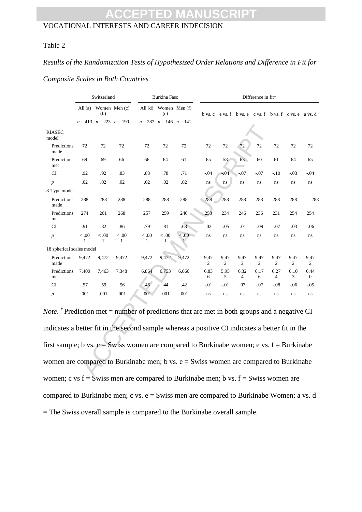#### Table 2

#### *Results of the Randomization Tests of Hypothesized Order Relations and Difference in Fit for*

#### *Composite Scales in Both Countries*

|                                                                                                                                                                                                        | Switzerland    |                               |                       |                          | Burkina Faso                     |              | Difference in fit* |                        |                                                                |           |                        |                        |                        |  |
|--------------------------------------------------------------------------------------------------------------------------------------------------------------------------------------------------------|----------------|-------------------------------|-----------------------|--------------------------|----------------------------------|--------------|--------------------|------------------------|----------------------------------------------------------------|-----------|------------------------|------------------------|------------------------|--|
|                                                                                                                                                                                                        |                | (b)                           | All (a) Women Men (c) |                          | All $(d)$ Women Men $(f)$<br>(e) |              |                    |                        | b vs. c e vs. f b vs. e c vs. f b vs. f c vs. e a vs. d        |           |                        |                        |                        |  |
|                                                                                                                                                                                                        |                | $n = 413$ $n = 223$ $n = 190$ |                       |                          | $n = 287$ $n = 146$ $n = 141$    |              |                    |                        |                                                                |           |                        |                        |                        |  |
| <b>RIASEC</b><br>model                                                                                                                                                                                 |                |                               |                       |                          |                                  |              |                    |                        |                                                                |           |                        |                        |                        |  |
| Predictions<br>made                                                                                                                                                                                    | 72             | 72                            | 72                    | 72                       | 72                               | 72           | 72                 | 72                     | 72                                                             | $72\,$    | 72                     | 72                     | 72                     |  |
| Predictions<br>met                                                                                                                                                                                     | 69             | 69                            | 66                    | 66                       | 64                               | 61           | 65                 | 58                     | 63                                                             | 60        | 61                     | 64                     | 65                     |  |
| <b>CI</b>                                                                                                                                                                                              | .92            | .92                           | .83                   | .83                      | .78                              | .71          | $-0.04$            | $-04$                  | $-.07$                                                         | $-.07$    | $-.10$                 | $-.03$                 | $-.04$                 |  |
| $\boldsymbol{p}$                                                                                                                                                                                       | .02            | .02                           | $.02\,$               | .02                      | .02                              | .02          | ns                 | $\mathbf{n}\mathbf{s}$ | ns                                                             | $\,ns$    | $\bf ns$               | $\,ns$                 | ns                     |  |
| 8-Type model                                                                                                                                                                                           |                |                               |                       |                          |                                  |              |                    |                        |                                                                |           |                        |                        |                        |  |
| Predictions<br>made                                                                                                                                                                                    | 288            | 288                           | 288                   | 288                      | 288                              | 288          | 288                | 288                    | 288                                                            | 288       | 288                    | 288                    | 288                    |  |
| Predictions<br>met                                                                                                                                                                                     | 274            | 261                           | 268                   | 257                      | 259                              | 240          | 253                | 234                    | 246                                                            | 236       | 231                    | 254                    | 254                    |  |
| <b>CI</b>                                                                                                                                                                                              | .91            | .82                           | .86                   | .79                      | .81                              | .68          | .02                | $-0.05$                | $-.01$                                                         | $-.09$    | $-.07$                 | $-.03$                 | $-06$                  |  |
| $\boldsymbol{p}$                                                                                                                                                                                       | < 0.0          | < 0.0<br>1                    | < 0.0<br>$\mathbf{1}$ | $<.00\,$<br>$\mathbf{1}$ | < 0.0<br>1                       | < 0.0        | ns                 | $\rm ns$               | $\rm ns$                                                       | $\,ns$    | $\bf ns$               | ns                     | $\rm ns$               |  |
| 18 spherical scales model                                                                                                                                                                              |                |                               |                       |                          |                                  |              |                    |                        |                                                                |           |                        |                        |                        |  |
| Predictions<br>made                                                                                                                                                                                    | 9,472          | 9,472                         | 9,472                 | 9,472                    | 9,472                            | 9,472        | 9,47<br>2          | 9,47<br>$\overline{2}$ | 9,47<br>2                                                      | 9,47<br>2 | 9,47<br>$\overline{2}$ | 9,47<br>$\overline{2}$ | 9,47<br>2              |  |
| Predictions<br>met                                                                                                                                                                                     | 7,400          | 7,463                         | 7,348                 | 6,864                    | 6,753                            | 6,666        | 6,83<br>6          | 5.95<br>5              | 6,32<br>4                                                      | 6,17<br>6 | 6,27<br>4              | 6,10<br>3              | 6,44<br>$\overline{0}$ |  |
| <b>CI</b>                                                                                                                                                                                              | .57            | .59                           | .56                   | .46                      | .44                              | .42          | $-.01$             | $-.01$                 | .07                                                            | $-.07$    | $-.08$                 | $-.06$                 | $-.05$                 |  |
| $\boldsymbol{p}$                                                                                                                                                                                       | .001           | .001                          | $.001$                | .001                     | .001                             | .001         | $\rm ns$           | $\rm ns$               | $\rm ns$                                                       | $\,ns$    | $\rm ns$               | $\,ns$                 | $\rm ns$               |  |
| <i>Note.</i> * Prediction met = number of predictions that are met in both groups and a negative CI<br>indicates a better fit in the second sample whereas a positive CI indicates a better fit in the |                |                               |                       |                          |                                  |              |                    |                        |                                                                |           |                        |                        |                        |  |
| first sample; b vs. $c =$ Swiss women are compared to Burkinabe women; e vs. $f =$ Burkinabe                                                                                                           |                |                               |                       |                          |                                  |              |                    |                        |                                                                |           |                        |                        |                        |  |
| women are compared to Burkinabe men; b vs. $e =$ Swiss women are compared to Burkinabe                                                                                                                 |                |                               |                       |                          |                                  |              |                    |                        |                                                                |           |                        |                        |                        |  |
|                                                                                                                                                                                                        | $\overline{a}$ | $\alpha$ ---:                 |                       |                          |                                  | . <b>n</b> . |                    |                        | $\ldots$ . In the set $\mathfrak{C}=\mathfrak{C}$ and $\ldots$ |           |                        |                        |                        |  |

Note. <sup>\*</sup> Prediction met = number of predictions that are met in both groups and a negative CI indicates a better fit in the second sample whereas a positive CI indicates a better fit in the first sample; b vs.  $c =$  Swiss women are compared to Burkinabe women; e vs.  $f =$  Burkinabe women are compared to Burkinabe men; b vs. e = Swiss women are compared to Burkinabe women; c vs  $f = \overline{S}$ wiss men are compared to Burkinabe men; b vs.  $f = S$ wiss women are compared to Burkinabe men; c vs.  $e =$  Swiss men are compared to Burkinabe Women; a vs. d = The Swiss overall sample is compared to the Burkinabe overall sample.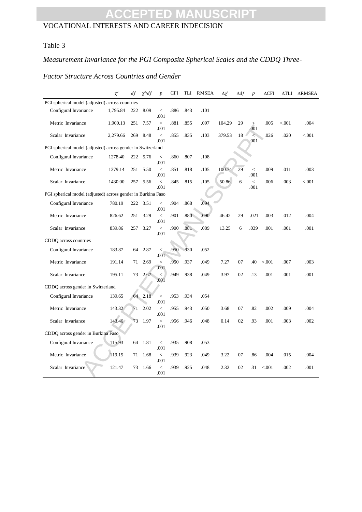#### VOCATIONAL INTERESTS AND CAREER INDECISION

### Table 3

### *Measurement Invariance for the PGI Composite Spherical Scales and the CDDQ Three-*

### *Factor Structure Across Countries and Gender*

|                                                             | $\chi^2$                                                     | df  | $\chi^2/df$ | $\overline{p}$         | <b>CFI</b> | <b>TLI</b> | <b>RMSEA</b> | Δχ²    | $\Delta df$ | $\boldsymbol{p}$                 | $\Delta$ CFI | $\Delta TLI$ | <b>ARMSEA</b> |
|-------------------------------------------------------------|--------------------------------------------------------------|-----|-------------|------------------------|------------|------------|--------------|--------|-------------|----------------------------------|--------------|--------------|---------------|
| PGI spherical model (adjusted) across countries             |                                                              |     |             |                        |            |            |              |        |             |                                  |              |              |               |
| Configural Invariance                                       | 1,795.84                                                     | 222 | 8.09        | $\lt$<br>.001          | .886       | .843       | .101         |        |             |                                  |              |              |               |
| Metric Invariance                                           | 1.900.13                                                     | 251 | 7.57        | $\lt$<br>.001          | .881       | .855       | .097         | 104.29 | 29          | $\,<$<br>.001                    | .005         | < 0.001      | .004          |
| Scalar Invariance                                           | 2,279.66                                                     | 269 | 8.48        | $\lt$<br>.001          | .855       | .835       | .103         | 379.53 | 18          | $\geq$<br>.001                   | .026         | .020         | < 0.001       |
| PGI spherical model (adjusted) across gender in Switzerland |                                                              |     |             |                        |            |            |              |        |             |                                  |              |              |               |
| Configural Invariance                                       | 1278.40                                                      |     | 222 5.76    | $\,<$<br>.001          | .860       | .807       | .108         |        |             |                                  |              |              |               |
| Metric Invariance                                           | 1379.14                                                      | 251 | 5.50        | $\,<$<br>.001          | .851       | .818       | .105         | 100.74 | 29          | $\,<$<br>.001                    | .009         | .011         | .003          |
| Scalar Invariance                                           | 1430.00                                                      | 257 | 5.56        | $\overline{a}$<br>.001 | .845       | .815       | .105         | 50.86  | 6           | $\overline{\phantom{a}}$<br>.001 | .006         | .003         | < 0.001       |
|                                                             | PGI spherical model (adjusted) across gender in Burkina Faso |     |             |                        |            |            |              |        |             |                                  |              |              |               |
| Configural Invariance                                       | 780.19                                                       |     | 222 3.51    | $\lt$<br>.001          | .904       | .868       | .094         |        |             |                                  |              |              |               |
| Metric Invariance                                           | 826.62                                                       | 251 | 3.29        | $\,<$<br>.001          | .901       | .880       | .090         | 46.42  | 29          | .021                             | .003         | .012         | .004          |
| Scalar Invariance                                           | 839.86                                                       | 257 | 3.27        | $\overline{a}$<br>.001 | .900       | .881       | .089         | 13.25  | 6           | .039                             | .001         | .001         | .001          |
| CDDQ across countries                                       |                                                              |     |             |                        |            |            |              |        |             |                                  |              |              |               |
| Configural Invariance                                       | 183.87                                                       | 64  | 2.87        | $\lt$<br>.001          | .950       | .930       | .052         |        |             |                                  |              |              |               |
| Metric Invariance                                           | 191.14                                                       | 71  | 2.69        | $\overline{<}$<br>.001 | .950       | .937       | .049         | 7.27   | 07          | .40                              | < 0.001      | .007         | .003          |
| Scalar Invariance                                           | 195.11                                                       | 73  | 2.67        | $\,<$<br>.001          | .949       | .938       | .049         | 3.97   | 02          | .13                              | .001         | .001         | .001          |
| CDDQ across gender in Switzerland                           |                                                              |     |             |                        |            |            |              |        |             |                                  |              |              |               |
| Configural Invariance                                       | 139.65                                                       |     | 64 2.18     | $\,<$<br>.001          | .953       | .934       | .054         |        |             |                                  |              |              |               |
| Metric Invariance                                           | 143.32                                                       | 71  | 2.02        | $\,<$<br>.001          | .955       | .943       | .050         | 3.68   | 07          | .82                              | .002         | .009         | .004          |
| Scalar Invariance                                           | 143.46                                                       | 73  | 1.97        | $\overline{a}$<br>.001 | .956       | .946       | .048         | 0.14   | 02          | .93                              | .001         | .003         | .002          |
| CDDQ across gender in Burkina Faso                          |                                                              |     |             |                        |            |            |              |        |             |                                  |              |              |               |
| Configural Invariance                                       | 115.93                                                       | 64  | 1.81        | $\,<$<br>.001          | .935       | .908       | .053         |        |             |                                  |              |              |               |
| Metric Invariance                                           | 119.15                                                       | 71  | 1.68        | $\,<$<br>.001          | .939       | .923       | .049         | 3.22   | 07          | .86                              | .004         | .015         | .004          |
| Scalar Invariance                                           | 121.47                                                       | 73  | 1.66        | $\overline{a}$<br>.001 | .939       | .925       | .048         | 2.32   | 02          | .31                              | < 0.001      | .002         | .001          |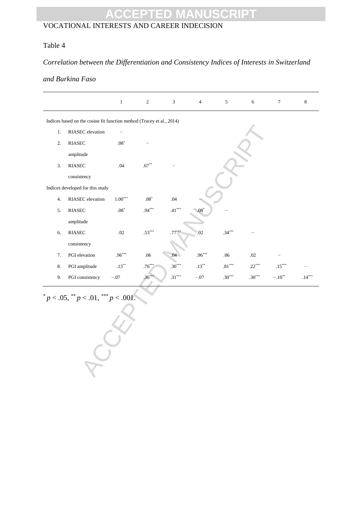#### VOCATIONAL INTERESTS AND CAREER INDECISION

#### Table 4

#### *Correlation between the Differentiation and Consistency Indices of Interests in Switzerland*

#### *and Burkina Faso*

|      |                                                                       | $\,1\,$               | $\sqrt{2}$  | $\sqrt{3}$ | $\overline{4}$ | $\sqrt{5}$ | $\sqrt{6}$ | $\boldsymbol{7}$ | $\,8\,$  |  |  |  |  |  |  |
|------|-----------------------------------------------------------------------|-----------------------|-------------|------------|----------------|------------|------------|------------------|----------|--|--|--|--|--|--|
|      | Indices based on the cosine fit function method (Tracey et al., 2014) |                       |             |            |                |            |            |                  |          |  |  |  |  |  |  |
| $1.$ | RIASEC elevation                                                      |                       |             |            |                |            |            |                  |          |  |  |  |  |  |  |
| 2.   | $\operatorname{RIASEC}$                                               | $.08^{\ast}$          |             |            |                |            |            |                  |          |  |  |  |  |  |  |
|      | amplitude                                                             |                       |             |            |                |            |            |                  |          |  |  |  |  |  |  |
| 3.   | RIASEC                                                                | .04                   | $.67***$    |            |                |            |            |                  |          |  |  |  |  |  |  |
|      | consistency                                                           |                       |             |            |                |            |            |                  |          |  |  |  |  |  |  |
|      | Indices developed for this study                                      |                       |             |            |                |            |            |                  |          |  |  |  |  |  |  |
| 4.   | RIASEC elevation                                                      | $1.00^{\ast\ast\ast}$ | $.08*$      | .04        |                |            |            |                  |          |  |  |  |  |  |  |
| 5.   | $\operatorname{RIASEC}$                                               | $.08^{\ast}$          | $.94***$    | $.41***$   | $.08*$         |            |            |                  |          |  |  |  |  |  |  |
|      | amplitude                                                             |                       |             |            |                |            |            |                  |          |  |  |  |  |  |  |
| 6.   | <b>RIASEC</b>                                                         | $.02\,$               | $.53***$    | $.77^*$    | .02            | $.34***$   |            |                  |          |  |  |  |  |  |  |
|      | consistency                                                           |                       |             |            |                |            |            |                  |          |  |  |  |  |  |  |
| 7.   | PGI elevation                                                         | $.96***$              | .06         | .04        | $.96***$       | .06        | $.02\,$    |                  |          |  |  |  |  |  |  |
| 8.   | PGI amplitude                                                         | $.13^{\ast\ast}$      | $.76^{***}$ | $.30***$   | $.13***$       | $.81***$   | $.22***$   | $.15***$         |          |  |  |  |  |  |  |
| 9.   | PGI consistency                                                       | $-.07$                | $.36***$    | $.31***$   | $-.07$         | $.30***$   | $.30***$   | $-.10**$         | $.14***$ |  |  |  |  |  |  |
|      | $p < .05,$ ** $p < .01,$ *** $p < .001$ .                             |                       |             |            |                |            |            |                  |          |  |  |  |  |  |  |